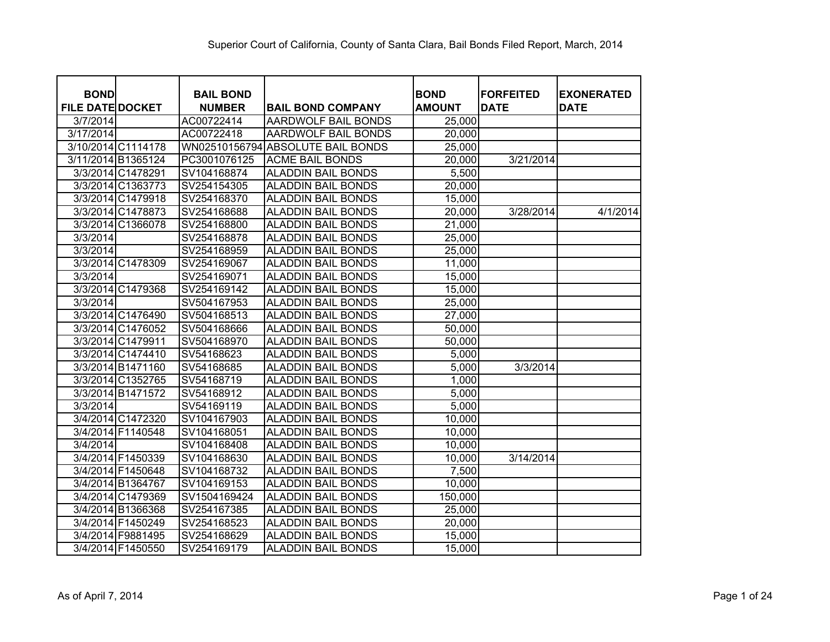| <b>BOND</b>             |                    | <b>BAIL BOND</b> |                                   | <b>BOND</b>   | <b>FORFEITED</b> | <b>EXONERATED</b> |
|-------------------------|--------------------|------------------|-----------------------------------|---------------|------------------|-------------------|
| <b>FILE DATE DOCKET</b> |                    | <b>NUMBER</b>    | <b>BAIL BOND COMPANY</b>          | <b>AMOUNT</b> | <b>DATE</b>      | <b>DATE</b>       |
| 3/7/2014                |                    | AC00722414       | AARDWOLF BAIL BONDS               | 25,000        |                  |                   |
| 3/17/2014               |                    | AC00722418       | <b>AARDWOLF BAIL BONDS</b>        | 20,000        |                  |                   |
|                         | 3/10/2014 C1114178 |                  | WN02510156794 ABSOLUTE BAIL BONDS | 25,000        |                  |                   |
|                         | 3/11/2014 B1365124 | PC3001076125     | <b>ACME BAIL BONDS</b>            | 20,000        | 3/21/2014        |                   |
|                         | 3/3/2014 C1478291  | SV104168874      | <b>ALADDIN BAIL BONDS</b>         | 5,500         |                  |                   |
|                         | 3/3/2014 C1363773  | SV254154305      | <b>ALADDIN BAIL BONDS</b>         | 20,000        |                  |                   |
|                         | 3/3/2014 C1479918  | SV254168370      | <b>ALADDIN BAIL BONDS</b>         | 15,000        |                  |                   |
|                         | 3/3/2014 C1478873  | SV254168688      | <b>ALADDIN BAIL BONDS</b>         | 20,000        | 3/28/2014        | 4/1/2014          |
|                         | 3/3/2014 C1366078  | SV254168800      | <b>ALADDIN BAIL BONDS</b>         | 21,000        |                  |                   |
| 3/3/2014                |                    | SV254168878      | <b>ALADDIN BAIL BONDS</b>         | 25,000        |                  |                   |
| 3/3/2014                |                    | SV254168959      | <b>ALADDIN BAIL BONDS</b>         | 25,000        |                  |                   |
|                         | 3/3/2014 C1478309  | SV254169067      | <b>ALADDIN BAIL BONDS</b>         | 11,000        |                  |                   |
| 3/3/2014                |                    | SV254169071      | <b>ALADDIN BAIL BONDS</b>         | 15,000        |                  |                   |
|                         | 3/3/2014 C1479368  | SV254169142      | <b>ALADDIN BAIL BONDS</b>         | 15,000        |                  |                   |
| 3/3/2014                |                    | SV504167953      | <b>ALADDIN BAIL BONDS</b>         | 25,000        |                  |                   |
|                         | 3/3/2014 C1476490  | SV504168513      | <b>ALADDIN BAIL BONDS</b>         | 27,000        |                  |                   |
|                         | 3/3/2014 C1476052  | SV504168666      | <b>ALADDIN BAIL BONDS</b>         | 50,000        |                  |                   |
|                         | 3/3/2014 C1479911  | SV504168970      | <b>ALADDIN BAIL BONDS</b>         | 50,000        |                  |                   |
|                         | 3/3/2014 C1474410  | SV54168623       | <b>ALADDIN BAIL BONDS</b>         | 5,000         |                  |                   |
|                         | 3/3/2014 B1471160  | SV54168685       | <b>ALADDIN BAIL BONDS</b>         | 5,000         | 3/3/2014         |                   |
|                         | 3/3/2014 C1352765  | SV54168719       | <b>ALADDIN BAIL BONDS</b>         | 1,000         |                  |                   |
|                         | 3/3/2014 B1471572  | SV54168912       | <b>ALADDIN BAIL BONDS</b>         | 5,000         |                  |                   |
| 3/3/2014                |                    | SV54169119       | <b>ALADDIN BAIL BONDS</b>         | 5,000         |                  |                   |
|                         | 3/4/2014 C1472320  | SV104167903      | <b>ALADDIN BAIL BONDS</b>         | 10,000        |                  |                   |
|                         | 3/4/2014 F1140548  | SV104168051      | <b>ALADDIN BAIL BONDS</b>         | 10,000        |                  |                   |
| 3/4/2014                |                    | SV104168408      | <b>ALADDIN BAIL BONDS</b>         | 10,000        |                  |                   |
|                         | 3/4/2014 F1450339  | SV104168630      | <b>ALADDIN BAIL BONDS</b>         | 10,000        | 3/14/2014        |                   |
|                         | 3/4/2014 F1450648  | SV104168732      | <b>ALADDIN BAIL BONDS</b>         | 7,500         |                  |                   |
|                         | 3/4/2014 B1364767  | SV104169153      | <b>ALADDIN BAIL BONDS</b>         | 10,000        |                  |                   |
|                         | 3/4/2014 C1479369  | SV1504169424     | <b>ALADDIN BAIL BONDS</b>         | 150,000       |                  |                   |
|                         | 3/4/2014 B1366368  | SV254167385      | <b>ALADDIN BAIL BONDS</b>         | 25,000        |                  |                   |
|                         | 3/4/2014 F1450249  | SV254168523      | <b>ALADDIN BAIL BONDS</b>         | 20,000        |                  |                   |
|                         | 3/4/2014 F9881495  | SV254168629      | <b>ALADDIN BAIL BONDS</b>         | 15,000        |                  |                   |
|                         | 3/4/2014 F1450550  | SV254169179      | <b>ALADDIN BAIL BONDS</b>         | 15,000        |                  |                   |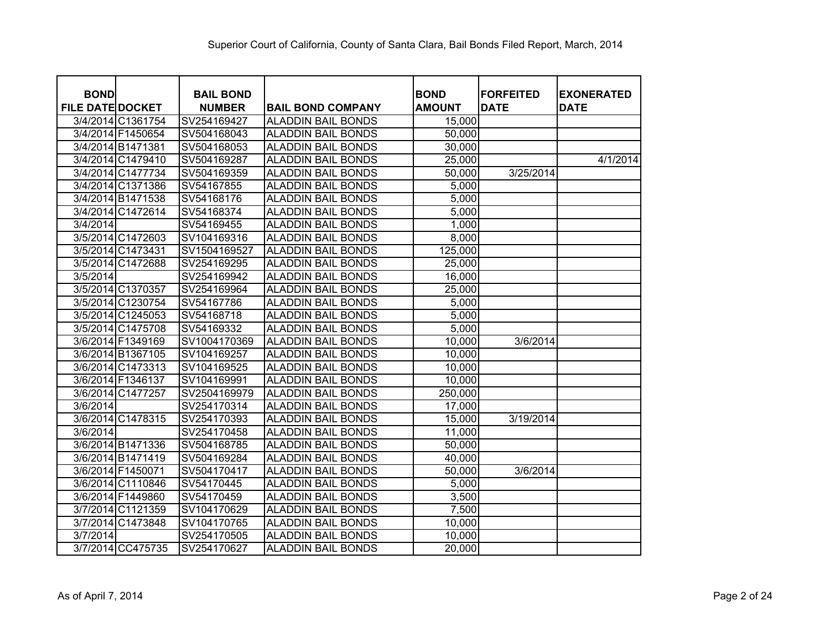| <b>BOND</b>             |                   | <b>BAIL BOND</b> |                           | <b>BOND</b>   | <b>FORFEITED</b> | <b>EXONERATED</b> |
|-------------------------|-------------------|------------------|---------------------------|---------------|------------------|-------------------|
| <b>FILE DATE DOCKET</b> |                   | <b>NUMBER</b>    | <b>BAIL BOND COMPANY</b>  | <b>AMOUNT</b> | <b>DATE</b>      | <b>DATE</b>       |
|                         | 3/4/2014 C1361754 | SV254169427      | <b>ALADDIN BAIL BONDS</b> | 15,000        |                  |                   |
|                         | 3/4/2014 F1450654 | SV504168043      | <b>ALADDIN BAIL BONDS</b> | 50,000        |                  |                   |
|                         | 3/4/2014 B1471381 | SV504168053      | <b>ALADDIN BAIL BONDS</b> | 30,000        |                  |                   |
|                         | 3/4/2014 C1479410 | SV504169287      | <b>ALADDIN BAIL BONDS</b> | 25,000        |                  | 4/1/2014          |
|                         | 3/4/2014 C1477734 | SV504169359      | <b>ALADDIN BAIL BONDS</b> | 50,000        | 3/25/2014        |                   |
|                         | 3/4/2014 C1371386 | SV54167855       | <b>ALADDIN BAIL BONDS</b> | 5,000         |                  |                   |
|                         | 3/4/2014 B1471538 | SV54168176       | <b>ALADDIN BAIL BONDS</b> | 5,000         |                  |                   |
|                         | 3/4/2014 C1472614 | SV54168374       | <b>ALADDIN BAIL BONDS</b> | 5,000         |                  |                   |
| 3/4/2014                |                   | SV54169455       | <b>ALADDIN BAIL BONDS</b> | 1,000         |                  |                   |
|                         | 3/5/2014 C1472603 | SV104169316      | <b>ALADDIN BAIL BONDS</b> | 8,000         |                  |                   |
|                         | 3/5/2014 C1473431 | SV1504169527     | <b>ALADDIN BAIL BONDS</b> | 125,000       |                  |                   |
|                         | 3/5/2014 C1472688 | SV254169295      | <b>ALADDIN BAIL BONDS</b> | 25,000        |                  |                   |
| 3/5/2014                |                   | SV254169942      | <b>ALADDIN BAIL BONDS</b> | 16,000        |                  |                   |
|                         | 3/5/2014 C1370357 | SV254169964      | <b>ALADDIN BAIL BONDS</b> | 25,000        |                  |                   |
|                         | 3/5/2014 C1230754 | SV54167786       | <b>ALADDIN BAIL BONDS</b> | 5,000         |                  |                   |
|                         | 3/5/2014 C1245053 | SV54168718       | <b>ALADDIN BAIL BONDS</b> | 5,000         |                  |                   |
|                         | 3/5/2014 C1475708 | SV54169332       | <b>ALADDIN BAIL BONDS</b> | 5,000         |                  |                   |
|                         | 3/6/2014 F1349169 | SV1004170369     | <b>ALADDIN BAIL BONDS</b> | 10,000        | 3/6/2014         |                   |
|                         | 3/6/2014 B1367105 | SV104169257      | <b>ALADDIN BAIL BONDS</b> | 10,000        |                  |                   |
|                         | 3/6/2014 C1473313 | SV104169525      | <b>ALADDIN BAIL BONDS</b> | 10,000        |                  |                   |
|                         | 3/6/2014 F1346137 | SV104169991      | <b>ALADDIN BAIL BONDS</b> | 10,000        |                  |                   |
|                         | 3/6/2014 C1477257 | SV2504169979     | <b>ALADDIN BAIL BONDS</b> | 250,000       |                  |                   |
| 3/6/2014                |                   | SV254170314      | <b>ALADDIN BAIL BONDS</b> | 17,000        |                  |                   |
|                         | 3/6/2014 C1478315 | SV254170393      | <b>ALADDIN BAIL BONDS</b> | 15,000        | 3/19/2014        |                   |
| 3/6/2014                |                   | SV254170458      | <b>ALADDIN BAIL BONDS</b> | 11,000        |                  |                   |
|                         | 3/6/2014 B1471336 | SV504168785      | <b>ALADDIN BAIL BONDS</b> | 50,000        |                  |                   |
|                         | 3/6/2014 B1471419 | SV504169284      | <b>ALADDIN BAIL BONDS</b> | 40,000        |                  |                   |
|                         | 3/6/2014 F1450071 | SV504170417      | <b>ALADDIN BAIL BONDS</b> | 50,000        | 3/6/2014         |                   |
|                         | 3/6/2014 C1110846 | SV54170445       | <b>ALADDIN BAIL BONDS</b> | 5,000         |                  |                   |
|                         | 3/6/2014 F1449860 | SV54170459       | <b>ALADDIN BAIL BONDS</b> | 3,500         |                  |                   |
|                         | 3/7/2014 C1121359 | SV104170629      | <b>ALADDIN BAIL BONDS</b> | 7,500         |                  |                   |
|                         | 3/7/2014 C1473848 | SV104170765      | <b>ALADDIN BAIL BONDS</b> | 10,000        |                  |                   |
| 3/7/2014                |                   | SV254170505      | <b>ALADDIN BAIL BONDS</b> | 10,000        |                  |                   |
|                         | 3/7/2014 CC475735 | SV254170627      | <b>ALADDIN BAIL BONDS</b> | 20,000        |                  |                   |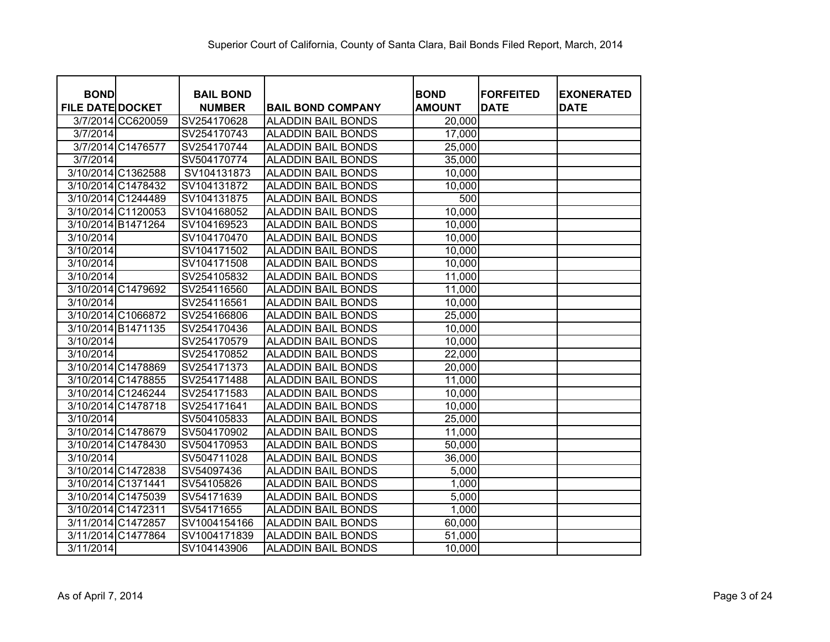| <b>BOND</b>             |                   | <b>BAIL BOND</b> |                           | <b>BOND</b>   | <b>FORFEITED</b> | <b>EXONERATED</b> |
|-------------------------|-------------------|------------------|---------------------------|---------------|------------------|-------------------|
| <b>FILE DATE DOCKET</b> |                   | <b>NUMBER</b>    | <b>BAIL BOND COMPANY</b>  | <b>AMOUNT</b> | <b>DATE</b>      | <b>DATE</b>       |
|                         | 3/7/2014 CC620059 | SV254170628      | <b>ALADDIN BAIL BONDS</b> | 20,000        |                  |                   |
| 3/7/2014                |                   | SV254170743      | <b>ALADDIN BAIL BONDS</b> | 17,000        |                  |                   |
|                         | 3/7/2014 C1476577 | SV254170744      | <b>ALADDIN BAIL BONDS</b> | 25,000        |                  |                   |
| 3/7/2014                |                   | SV504170774      | <b>ALADDIN BAIL BONDS</b> | 35,000        |                  |                   |
| 3/10/2014 C1362588      |                   | SV104131873      | <b>ALADDIN BAIL BONDS</b> | 10,000        |                  |                   |
| 3/10/2014 C1478432      |                   | SV104131872      | <b>ALADDIN BAIL BONDS</b> | 10,000        |                  |                   |
| 3/10/2014 C1244489      |                   | SV104131875      | <b>ALADDIN BAIL BONDS</b> | 500           |                  |                   |
| 3/10/2014 C1120053      |                   | SV104168052      | <b>ALADDIN BAIL BONDS</b> | 10,000        |                  |                   |
| 3/10/2014 B1471264      |                   | SV104169523      | <b>ALADDIN BAIL BONDS</b> | 10,000        |                  |                   |
| 3/10/2014               |                   | SV104170470      | <b>ALADDIN BAIL BONDS</b> | 10,000        |                  |                   |
| 3/10/2014               |                   | SV104171502      | <b>ALADDIN BAIL BONDS</b> | 10,000        |                  |                   |
| 3/10/2014               |                   | SV104171508      | <b>ALADDIN BAIL BONDS</b> | 10,000        |                  |                   |
| 3/10/2014               |                   | SV254105832      | <b>ALADDIN BAIL BONDS</b> | 11,000        |                  |                   |
| 3/10/2014 C1479692      |                   | SV254116560      | <b>ALADDIN BAIL BONDS</b> | 11,000        |                  |                   |
| 3/10/2014               |                   | SV254116561      | <b>ALADDIN BAIL BONDS</b> | 10,000        |                  |                   |
| 3/10/2014 C1066872      |                   | SV254166806      | <b>ALADDIN BAIL BONDS</b> | 25,000        |                  |                   |
| 3/10/2014 B1471135      |                   | SV254170436      | <b>ALADDIN BAIL BONDS</b> | 10,000        |                  |                   |
| 3/10/2014               |                   | SV254170579      | <b>ALADDIN BAIL BONDS</b> | 10,000        |                  |                   |
| 3/10/2014               |                   | SV254170852      | <b>ALADDIN BAIL BONDS</b> | 22,000        |                  |                   |
| 3/10/2014 C1478869      |                   | SV254171373      | <b>ALADDIN BAIL BONDS</b> | 20,000        |                  |                   |
| 3/10/2014 C1478855      |                   | SV254171488      | <b>ALADDIN BAIL BONDS</b> | 11,000        |                  |                   |
| 3/10/2014 C1246244      |                   | SV254171583      | <b>ALADDIN BAIL BONDS</b> | 10,000        |                  |                   |
| 3/10/2014 C1478718      |                   | SV254171641      | <b>ALADDIN BAIL BONDS</b> | 10,000        |                  |                   |
| 3/10/2014               |                   | SV504105833      | <b>ALADDIN BAIL BONDS</b> | 25,000        |                  |                   |
| 3/10/2014 C1478679      |                   | SV504170902      | <b>ALADDIN BAIL BONDS</b> | 11,000        |                  |                   |
| 3/10/2014 C1478430      |                   | SV504170953      | <b>ALADDIN BAIL BONDS</b> | 50,000        |                  |                   |
| 3/10/2014               |                   | SV504711028      | <b>ALADDIN BAIL BONDS</b> | 36,000        |                  |                   |
| 3/10/2014 C1472838      |                   | SV54097436       | <b>ALADDIN BAIL BONDS</b> | 5,000         |                  |                   |
| 3/10/2014 C1371441      |                   | SV54105826       | <b>ALADDIN BAIL BONDS</b> | 1,000         |                  |                   |
| 3/10/2014 C1475039      |                   | SV54171639       | <b>ALADDIN BAIL BONDS</b> | 5,000         |                  |                   |
| 3/10/2014 C1472311      |                   | SV54171655       | <b>ALADDIN BAIL BONDS</b> | 1,000         |                  |                   |
| 3/11/2014 C1472857      |                   | SV1004154166     | <b>ALADDIN BAIL BONDS</b> | 60,000        |                  |                   |
| 3/11/2014 C1477864      |                   | SV1004171839     | <b>ALADDIN BAIL BONDS</b> | 51,000        |                  |                   |
| 3/11/2014               |                   | SV104143906      | <b>ALADDIN BAIL BONDS</b> | 10,000        |                  |                   |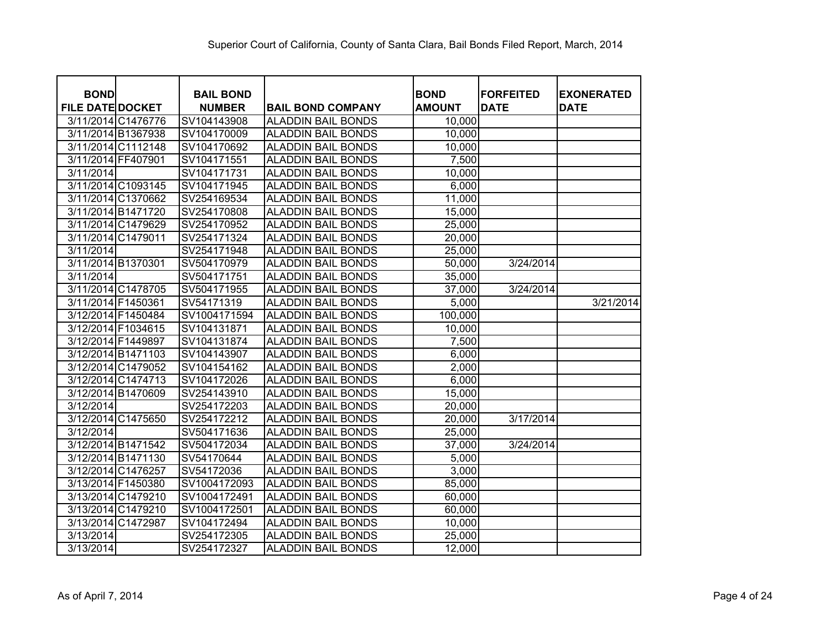| <b>BOND</b>             |                    | <b>BAIL BOND</b> |                           | <b>BOND</b>   | <b>FORFEITED</b> | <b>EXONERATED</b> |
|-------------------------|--------------------|------------------|---------------------------|---------------|------------------|-------------------|
| <b>FILE DATE DOCKET</b> |                    | <b>NUMBER</b>    | <b>BAIL BOND COMPANY</b>  | <b>AMOUNT</b> | <b>DATE</b>      | <b>DATE</b>       |
|                         | 3/11/2014 C1476776 | SV104143908      | <b>ALADDIN BAIL BONDS</b> | 10,000        |                  |                   |
|                         | 3/11/2014 B1367938 | SV104170009      | <b>ALADDIN BAIL BONDS</b> | 10,000        |                  |                   |
|                         | 3/11/2014 C1112148 | SV104170692      | <b>ALADDIN BAIL BONDS</b> | 10,000        |                  |                   |
| 3/11/2014 FF407901      |                    | SV104171551      | <b>ALADDIN BAIL BONDS</b> | 7,500         |                  |                   |
| 3/11/2014               |                    | SV104171731      | <b>ALADDIN BAIL BONDS</b> | 10,000        |                  |                   |
|                         | 3/11/2014 C1093145 | SV104171945      | <b>ALADDIN BAIL BONDS</b> | 6,000         |                  |                   |
|                         | 3/11/2014 C1370662 | SV254169534      | <b>ALADDIN BAIL BONDS</b> | 11,000        |                  |                   |
|                         | 3/11/2014 B1471720 | SV254170808      | <b>ALADDIN BAIL BONDS</b> | 15,000        |                  |                   |
|                         | 3/11/2014 C1479629 | SV254170952      | <b>ALADDIN BAIL BONDS</b> | 25,000        |                  |                   |
|                         | 3/11/2014 C1479011 | SV254171324      | <b>ALADDIN BAIL BONDS</b> | 20,000        |                  |                   |
| 3/11/2014               |                    | SV254171948      | <b>ALADDIN BAIL BONDS</b> | 25,000        |                  |                   |
| 3/11/2014 B1370301      |                    | SV504170979      | <b>ALADDIN BAIL BONDS</b> | 50,000        | 3/24/2014        |                   |
| 3/11/2014               |                    | SV504171751      | <b>ALADDIN BAIL BONDS</b> | 35,000        |                  |                   |
|                         | 3/11/2014 C1478705 | SV504171955      | <b>ALADDIN BAIL BONDS</b> | 37,000        | 3/24/2014        |                   |
| 3/11/2014 F1450361      |                    | SV54171319       | <b>ALADDIN BAIL BONDS</b> | 5,000         |                  | 3/21/2014         |
|                         | 3/12/2014 F1450484 | SV1004171594     | <b>ALADDIN BAIL BONDS</b> | 100,000       |                  |                   |
| 3/12/2014 F1034615      |                    | SV104131871      | <b>ALADDIN BAIL BONDS</b> | 10,000        |                  |                   |
| 3/12/2014 F1449897      |                    | SV104131874      | <b>ALADDIN BAIL BONDS</b> | 7,500         |                  |                   |
|                         | 3/12/2014 B1471103 | SV104143907      | <b>ALADDIN BAIL BONDS</b> | 6,000         |                  |                   |
|                         | 3/12/2014 C1479052 | SV104154162      | <b>ALADDIN BAIL BONDS</b> | 2,000         |                  |                   |
|                         | 3/12/2014 C1474713 | SV104172026      | <b>ALADDIN BAIL BONDS</b> | 6,000         |                  |                   |
|                         | 3/12/2014 B1470609 | SV254143910      | <b>ALADDIN BAIL BONDS</b> | 15,000        |                  |                   |
| 3/12/2014               |                    | SV254172203      | <b>ALADDIN BAIL BONDS</b> | 20,000        |                  |                   |
|                         | 3/12/2014 C1475650 | SV254172212      | <b>ALADDIN BAIL BONDS</b> | 20,000        | 3/17/2014        |                   |
| 3/12/2014               |                    | SV504171636      | <b>ALADDIN BAIL BONDS</b> | 25,000        |                  |                   |
|                         | 3/12/2014 B1471542 | SV504172034      | <b>ALADDIN BAIL BONDS</b> | 37,000        | 3/24/2014        |                   |
|                         | 3/12/2014 B1471130 | SV54170644       | <b>ALADDIN BAIL BONDS</b> | 5,000         |                  |                   |
|                         | 3/12/2014 C1476257 | SV54172036       | <b>ALADDIN BAIL BONDS</b> | 3,000         |                  |                   |
| 3/13/2014 F1450380      |                    | SV1004172093     | <b>ALADDIN BAIL BONDS</b> | 85,000        |                  |                   |
|                         | 3/13/2014 C1479210 | SV1004172491     | <b>ALADDIN BAIL BONDS</b> | 60,000        |                  |                   |
|                         | 3/13/2014 C1479210 | SV1004172501     | <b>ALADDIN BAIL BONDS</b> | 60,000        |                  |                   |
| 3/13/2014 C1472987      |                    | SV104172494      | <b>ALADDIN BAIL BONDS</b> | 10,000        |                  |                   |
| 3/13/2014               |                    | SV254172305      | <b>ALADDIN BAIL BONDS</b> | 25,000        |                  |                   |
| 3/13/2014               |                    | SV254172327      | <b>ALADDIN BAIL BONDS</b> | 12,000        |                  |                   |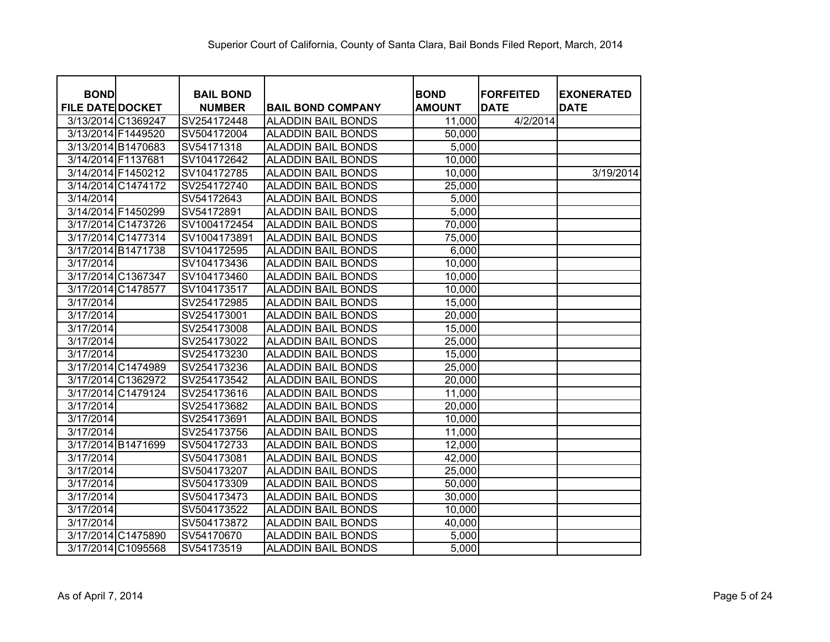| <b>BOND</b>                              |                    | <b>BAIL BOND</b>           |                                                        | <b>BOND</b>      | <b>FORFEITED</b> | <b>EXONERATED</b> |
|------------------------------------------|--------------------|----------------------------|--------------------------------------------------------|------------------|------------------|-------------------|
| <b>FILE DATE DOCKET</b>                  |                    | <b>NUMBER</b>              | <b>BAIL BOND COMPANY</b>                               | <b>AMOUNT</b>    | <b>DATE</b>      | <b>DATE</b>       |
| 3/13/2014 C1369247<br>3/13/2014 F1449520 |                    | SV254172448<br>SV504172004 | <b>ALADDIN BAIL BONDS</b><br><b>ALADDIN BAIL BONDS</b> | 11,000<br>50,000 | 4/2/2014         |                   |
|                                          |                    |                            |                                                        |                  |                  |                   |
| 3/13/2014 B1470683                       |                    | SV54171318                 | <b>ALADDIN BAIL BONDS</b>                              | 5,000            |                  |                   |
| 3/14/2014 F1137681                       |                    | SV104172642                | <b>ALADDIN BAIL BONDS</b>                              | 10,000           |                  |                   |
| 3/14/2014 F1450212                       |                    | SV104172785                | <b>ALADDIN BAIL BONDS</b>                              | 10,000           |                  | 3/19/2014         |
| 3/14/2014 C1474172                       |                    | SV254172740                | <b>ALADDIN BAIL BONDS</b>                              | 25,000           |                  |                   |
| 3/14/2014                                |                    | SV54172643                 | <b>ALADDIN BAIL BONDS</b>                              | 5,000            |                  |                   |
| 3/14/2014 F1450299                       |                    | SV54172891                 | <b>ALADDIN BAIL BONDS</b>                              | 5,000            |                  |                   |
|                                          | 3/17/2014 C1473726 | SV1004172454               | <b>ALADDIN BAIL BONDS</b>                              | 70,000           |                  |                   |
|                                          | 3/17/2014 C1477314 | SV1004173891               | <b>ALADDIN BAIL BONDS</b>                              | 75,000           |                  |                   |
| 3/17/2014 B1471738                       |                    | SV104172595                | <b>ALADDIN BAIL BONDS</b>                              | 6,000            |                  |                   |
| 3/17/2014                                |                    | SV104173436                | <b>ALADDIN BAIL BONDS</b>                              | 10,000           |                  |                   |
| 3/17/2014 C1367347                       |                    | SV104173460                | <b>ALADDIN BAIL BONDS</b>                              | 10,000           |                  |                   |
| 3/17/2014 C1478577                       |                    | SV104173517                | <b>ALADDIN BAIL BONDS</b>                              | 10,000           |                  |                   |
| 3/17/2014                                |                    | SV254172985                | <b>ALADDIN BAIL BONDS</b>                              | 15,000           |                  |                   |
| 3/17/2014                                |                    | SV254173001                | <b>ALADDIN BAIL BONDS</b>                              | 20,000           |                  |                   |
| 3/17/2014                                |                    | SV254173008                | <b>ALADDIN BAIL BONDS</b>                              | 15,000           |                  |                   |
| 3/17/2014                                |                    | SV254173022                | <b>ALADDIN BAIL BONDS</b>                              | 25,000           |                  |                   |
| 3/17/2014                                |                    | SV254173230                | <b>ALADDIN BAIL BONDS</b>                              | 15,000           |                  |                   |
|                                          | 3/17/2014 C1474989 | SV254173236                | <b>ALADDIN BAIL BONDS</b>                              | 25,000           |                  |                   |
|                                          | 3/17/2014 C1362972 | SV254173542                | <b>ALADDIN BAIL BONDS</b>                              | 20,000           |                  |                   |
|                                          | 3/17/2014 C1479124 | SV254173616                | <b>ALADDIN BAIL BONDS</b>                              | 11,000           |                  |                   |
| 3/17/2014                                |                    | SV254173682                | <b>ALADDIN BAIL BONDS</b>                              | 20,000           |                  |                   |
| 3/17/2014                                |                    | SV254173691                | <b>ALADDIN BAIL BONDS</b>                              | 10,000           |                  |                   |
| 3/17/2014                                |                    | SV254173756                | <b>ALADDIN BAIL BONDS</b>                              | 11,000           |                  |                   |
| 3/17/2014 B1471699                       |                    | SV504172733                | <b>ALADDIN BAIL BONDS</b>                              | 12,000           |                  |                   |
| 3/17/2014                                |                    | SV504173081                | <b>ALADDIN BAIL BONDS</b>                              | 42,000           |                  |                   |
| 3/17/2014                                |                    | SV504173207                | <b>ALADDIN BAIL BONDS</b>                              | 25,000           |                  |                   |
| 3/17/2014                                |                    | SV504173309                | <b>ALADDIN BAIL BONDS</b>                              | 50,000           |                  |                   |
| 3/17/2014                                |                    | SV504173473                | <b>ALADDIN BAIL BONDS</b>                              | 30,000           |                  |                   |
| 3/17/2014                                |                    | SV504173522                | <b>ALADDIN BAIL BONDS</b>                              | 10,000           |                  |                   |
| 3/17/2014                                |                    | SV504173872                | <b>ALADDIN BAIL BONDS</b>                              | 40,000           |                  |                   |
|                                          | 3/17/2014 C1475890 | SV54170670                 | <b>ALADDIN BAIL BONDS</b>                              | 5,000            |                  |                   |
|                                          | 3/17/2014 C1095568 | SV54173519                 | <b>ALADDIN BAIL BONDS</b>                              | 5,000            |                  |                   |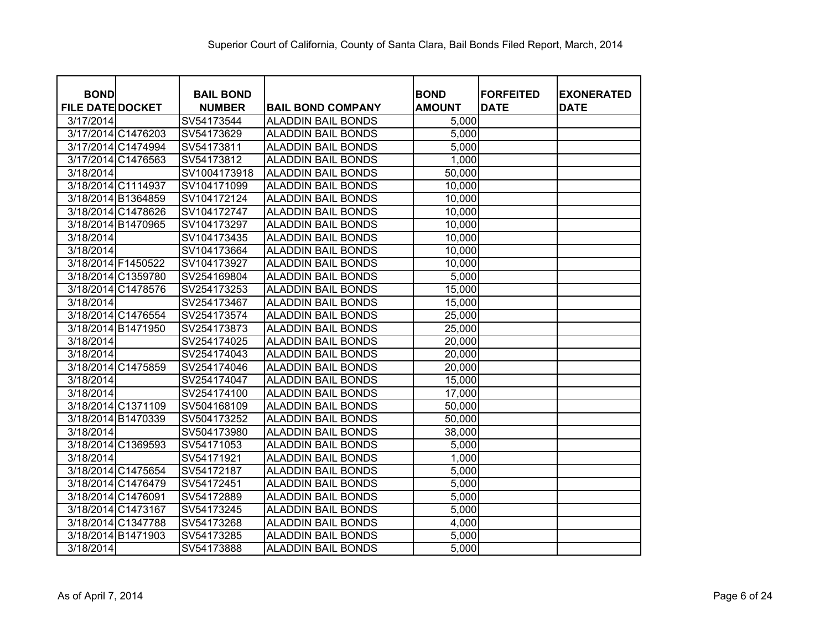| <b>BOND</b>             | <b>BAIL BOND</b> |                           | <b>BOND</b>   | <b>FORFEITED</b> | <b>EXONERATED</b> |
|-------------------------|------------------|---------------------------|---------------|------------------|-------------------|
| <b>FILE DATE DOCKET</b> | <b>NUMBER</b>    | <b>BAIL BOND COMPANY</b>  | <b>AMOUNT</b> | <b>DATE</b>      | <b>DATE</b>       |
| 3/17/2014               | SV54173544       | <b>ALADDIN BAIL BONDS</b> | 5,000         |                  |                   |
| 3/17/2014 C1476203      | SV54173629       | <b>ALADDIN BAIL BONDS</b> | 5,000         |                  |                   |
| 3/17/2014 C1474994      | SV54173811       | <b>ALADDIN BAIL BONDS</b> | 5,000         |                  |                   |
| 3/17/2014 C1476563      | SV54173812       | <b>ALADDIN BAIL BONDS</b> | 1,000         |                  |                   |
| 3/18/2014               | SV1004173918     | <b>ALADDIN BAIL BONDS</b> | 50,000        |                  |                   |
| 3/18/2014 C1114937      | SV104171099      | <b>ALADDIN BAIL BONDS</b> | 10,000        |                  |                   |
| 3/18/2014 B1364859      | SV104172124      | <b>ALADDIN BAIL BONDS</b> | 10,000        |                  |                   |
| 3/18/2014 C1478626      | SV104172747      | <b>ALADDIN BAIL BONDS</b> | 10,000        |                  |                   |
| 3/18/2014 B1470965      | SV104173297      | <b>ALADDIN BAIL BONDS</b> | 10,000        |                  |                   |
| 3/18/2014               | SV104173435      | <b>ALADDIN BAIL BONDS</b> | 10,000        |                  |                   |
| 3/18/2014               | SV104173664      | <b>ALADDIN BAIL BONDS</b> | 10,000        |                  |                   |
| 3/18/2014 F1450522      | SV104173927      | <b>ALADDIN BAIL BONDS</b> | 10,000        |                  |                   |
| 3/18/2014 C1359780      | SV254169804      | <b>ALADDIN BAIL BONDS</b> | 5,000         |                  |                   |
| 3/18/2014 C1478576      | SV254173253      | <b>ALADDIN BAIL BONDS</b> | 15,000        |                  |                   |
| 3/18/2014               | SV254173467      | <b>ALADDIN BAIL BONDS</b> | 15,000        |                  |                   |
| 3/18/2014 C1476554      | SV254173574      | <b>ALADDIN BAIL BONDS</b> | 25,000        |                  |                   |
| 3/18/2014 B1471950      | SV254173873      | <b>ALADDIN BAIL BONDS</b> | 25,000        |                  |                   |
| 3/18/2014               | SV254174025      | <b>ALADDIN BAIL BONDS</b> | 20,000        |                  |                   |
| 3/18/2014               | SV254174043      | <b>ALADDIN BAIL BONDS</b> | 20,000        |                  |                   |
| 3/18/2014 C1475859      | SV254174046      | <b>ALADDIN BAIL BONDS</b> | 20,000        |                  |                   |
| 3/18/2014               | SV254174047      | <b>ALADDIN BAIL BONDS</b> | 15,000        |                  |                   |
| 3/18/2014               | SV254174100      | <b>ALADDIN BAIL BONDS</b> | 17,000        |                  |                   |
| 3/18/2014 C1371109      | SV504168109      | <b>ALADDIN BAIL BONDS</b> | 50,000        |                  |                   |
| 3/18/2014 B1470339      | SV504173252      | <b>ALADDIN BAIL BONDS</b> | 50,000        |                  |                   |
| 3/18/2014               | SV504173980      | <b>ALADDIN BAIL BONDS</b> | 38,000        |                  |                   |
| 3/18/2014 C1369593      | SV54171053       | <b>ALADDIN BAIL BONDS</b> | 5,000         |                  |                   |
| 3/18/2014               | SV54171921       | <b>ALADDIN BAIL BONDS</b> | 1,000         |                  |                   |
| 3/18/2014 C1475654      | SV54172187       | <b>ALADDIN BAIL BONDS</b> | 5,000         |                  |                   |
| 3/18/2014 C1476479      | SV54172451       | <b>ALADDIN BAIL BONDS</b> | 5,000         |                  |                   |
| 3/18/2014 C1476091      | SV54172889       | <b>ALADDIN BAIL BONDS</b> | 5,000         |                  |                   |
| 3/18/2014 C1473167      | SV54173245       | <b>ALADDIN BAIL BONDS</b> | 5,000         |                  |                   |
| 3/18/2014 C1347788      | SV54173268       | <b>ALADDIN BAIL BONDS</b> | 4,000         |                  |                   |
| 3/18/2014 B1471903      | SV54173285       | <b>ALADDIN BAIL BONDS</b> | 5,000         |                  |                   |
| 3/18/2014               | SV54173888       | <b>ALADDIN BAIL BONDS</b> | 5,000         |                  |                   |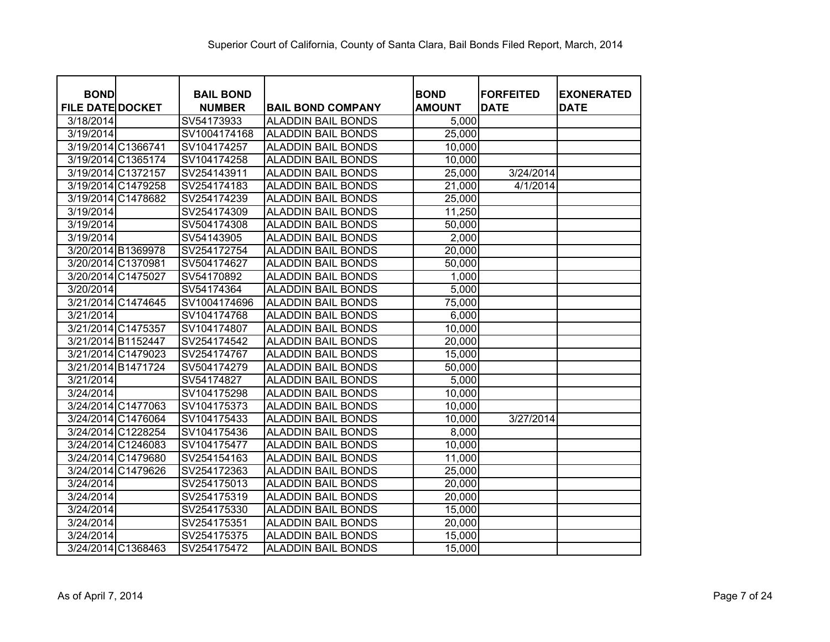| <b>BOND</b>             |                    | <b>BAIL BOND</b> |                           | <b>BOND</b>   | <b>IFORFEITED</b> | <b>EXONERATED</b> |
|-------------------------|--------------------|------------------|---------------------------|---------------|-------------------|-------------------|
| <b>FILE DATE DOCKET</b> |                    | <b>NUMBER</b>    | <b>BAIL BOND COMPANY</b>  | <b>AMOUNT</b> | <b>DATE</b>       | <b>DATE</b>       |
| 3/18/2014               |                    | SV54173933       | <b>ALADDIN BAIL BONDS</b> | 5,000         |                   |                   |
| 3/19/2014               |                    | SV1004174168     | <b>ALADDIN BAIL BONDS</b> | 25,000        |                   |                   |
|                         | 3/19/2014 C1366741 | SV104174257      | <b>ALADDIN BAIL BONDS</b> | 10,000        |                   |                   |
|                         | 3/19/2014 C1365174 | SV104174258      | <b>ALADDIN BAIL BONDS</b> | 10,000        |                   |                   |
|                         | 3/19/2014 C1372157 | SV254143911      | <b>ALADDIN BAIL BONDS</b> | 25,000        | 3/24/2014         |                   |
|                         | 3/19/2014 C1479258 | SV254174183      | <b>ALADDIN BAIL BONDS</b> | 21,000        | 4/1/2014          |                   |
|                         | 3/19/2014 C1478682 | SV254174239      | <b>ALADDIN BAIL BONDS</b> | 25,000        |                   |                   |
| 3/19/2014               |                    | SV254174309      | <b>ALADDIN BAIL BONDS</b> | 11,250        |                   |                   |
| 3/19/2014               |                    | SV504174308      | <b>ALADDIN BAIL BONDS</b> | 50,000        |                   |                   |
| 3/19/2014               |                    | SV54143905       | <b>ALADDIN BAIL BONDS</b> | 2,000         |                   |                   |
|                         | 3/20/2014 B1369978 | SV254172754      | <b>ALADDIN BAIL BONDS</b> | 20,000        |                   |                   |
|                         | 3/20/2014 C1370981 | SV504174627      | <b>ALADDIN BAIL BONDS</b> | 50,000        |                   |                   |
|                         | 3/20/2014 C1475027 | SV54170892       | <b>ALADDIN BAIL BONDS</b> | 1,000         |                   |                   |
| 3/20/2014               |                    | SV54174364       | <b>ALADDIN BAIL BONDS</b> | 5,000         |                   |                   |
|                         | 3/21/2014 C1474645 | SV1004174696     | <b>ALADDIN BAIL BONDS</b> | 75,000        |                   |                   |
| 3/21/2014               |                    | SV104174768      | <b>ALADDIN BAIL BONDS</b> | 6,000         |                   |                   |
|                         | 3/21/2014 C1475357 | SV104174807      | <b>ALADDIN BAIL BONDS</b> | 10,000        |                   |                   |
|                         | 3/21/2014 B1152447 | SV254174542      | <b>ALADDIN BAIL BONDS</b> | 20,000        |                   |                   |
|                         | 3/21/2014 C1479023 | SV254174767      | <b>ALADDIN BAIL BONDS</b> | 15,000        |                   |                   |
|                         | 3/21/2014 B1471724 | SV504174279      | <b>ALADDIN BAIL BONDS</b> | 50,000        |                   |                   |
| 3/21/2014               |                    | SV54174827       | <b>ALADDIN BAIL BONDS</b> | 5,000         |                   |                   |
| 3/24/2014               |                    | SV104175298      | <b>ALADDIN BAIL BONDS</b> | 10,000        |                   |                   |
|                         | 3/24/2014 C1477063 | SV104175373      | <b>ALADDIN BAIL BONDS</b> | 10,000        |                   |                   |
|                         | 3/24/2014 C1476064 | SV104175433      | <b>ALADDIN BAIL BONDS</b> | 10,000        | 3/27/2014         |                   |
|                         | 3/24/2014 C1228254 | SV104175436      | <b>ALADDIN BAIL BONDS</b> | 8,000         |                   |                   |
|                         | 3/24/2014 C1246083 | SV104175477      | <b>ALADDIN BAIL BONDS</b> | 10,000        |                   |                   |
|                         | 3/24/2014 C1479680 | SV254154163      | <b>ALADDIN BAIL BONDS</b> | 11,000        |                   |                   |
|                         | 3/24/2014 C1479626 | SV254172363      | <b>ALADDIN BAIL BONDS</b> | 25,000        |                   |                   |
| 3/24/2014               |                    | SV254175013      | <b>ALADDIN BAIL BONDS</b> | 20,000        |                   |                   |
| 3/24/2014               |                    | SV254175319      | <b>ALADDIN BAIL BONDS</b> | 20,000        |                   |                   |
| 3/24/2014               |                    | SV254175330      | <b>ALADDIN BAIL BONDS</b> | 15,000        |                   |                   |
| 3/24/2014               |                    | SV254175351      | <b>ALADDIN BAIL BONDS</b> | 20,000        |                   |                   |
| 3/24/2014               |                    | SV254175375      | <b>ALADDIN BAIL BONDS</b> | 15,000        |                   |                   |
|                         | 3/24/2014 C1368463 | SV254175472      | <b>ALADDIN BAIL BONDS</b> | 15,000        |                   |                   |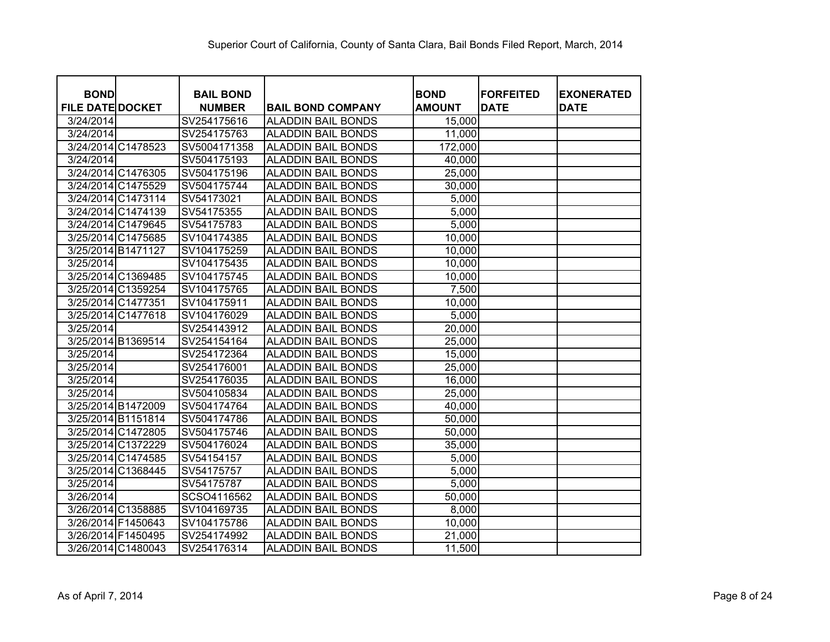| <b>BOND</b>             |                    | <b>BAIL BOND</b> |                           | <b>BOND</b>   | <b>FORFEITED</b> | <b>EXONERATED</b> |
|-------------------------|--------------------|------------------|---------------------------|---------------|------------------|-------------------|
| <b>FILE DATE DOCKET</b> |                    | <b>NUMBER</b>    | <b>BAIL BOND COMPANY</b>  | <b>AMOUNT</b> | <b>DATE</b>      | <b>DATE</b>       |
| 3/24/2014               |                    | SV254175616      | <b>ALADDIN BAIL BONDS</b> | 15,000        |                  |                   |
| 3/24/2014               |                    | SV254175763      | <b>ALADDIN BAIL BONDS</b> | 11,000        |                  |                   |
|                         | 3/24/2014 C1478523 | SV5004171358     | <b>ALADDIN BAIL BONDS</b> | 172,000       |                  |                   |
| 3/24/2014               |                    | SV504175193      | <b>ALADDIN BAIL BONDS</b> | 40,000        |                  |                   |
|                         | 3/24/2014 C1476305 | SV504175196      | <b>ALADDIN BAIL BONDS</b> | 25,000        |                  |                   |
|                         | 3/24/2014 C1475529 | SV504175744      | <b>ALADDIN BAIL BONDS</b> | 30,000        |                  |                   |
|                         | 3/24/2014 C1473114 | SV54173021       | <b>ALADDIN BAIL BONDS</b> | 5,000         |                  |                   |
|                         | 3/24/2014 C1474139 | SV54175355       | <b>ALADDIN BAIL BONDS</b> | 5,000         |                  |                   |
|                         | 3/24/2014 C1479645 | SV54175783       | <b>ALADDIN BAIL BONDS</b> | 5,000         |                  |                   |
|                         | 3/25/2014 C1475685 | SV104174385      | <b>ALADDIN BAIL BONDS</b> | 10,000        |                  |                   |
|                         | 3/25/2014 B1471127 | SV104175259      | <b>ALADDIN BAIL BONDS</b> | 10,000        |                  |                   |
| 3/25/2014               |                    | SV104175435      | <b>ALADDIN BAIL BONDS</b> | 10,000        |                  |                   |
|                         | 3/25/2014 C1369485 | SV104175745      | <b>ALADDIN BAIL BONDS</b> | 10,000        |                  |                   |
|                         | 3/25/2014 C1359254 | SV104175765      | <b>ALADDIN BAIL BONDS</b> | 7,500         |                  |                   |
|                         | 3/25/2014 C1477351 | SV104175911      | <b>ALADDIN BAIL BONDS</b> | 10,000        |                  |                   |
|                         | 3/25/2014 C1477618 | SV104176029      | <b>ALADDIN BAIL BONDS</b> | 5,000         |                  |                   |
| 3/25/2014               |                    | SV254143912      | <b>ALADDIN BAIL BONDS</b> | 20,000        |                  |                   |
|                         | 3/25/2014 B1369514 | SV254154164      | <b>ALADDIN BAIL BONDS</b> | 25,000        |                  |                   |
| 3/25/2014               |                    | SV254172364      | <b>ALADDIN BAIL BONDS</b> | 15,000        |                  |                   |
| 3/25/2014               |                    | SV254176001      | <b>ALADDIN BAIL BONDS</b> | 25,000        |                  |                   |
| 3/25/2014               |                    | SV254176035      | <b>ALADDIN BAIL BONDS</b> | 16,000        |                  |                   |
| 3/25/2014               |                    | SV504105834      | <b>ALADDIN BAIL BONDS</b> | 25,000        |                  |                   |
|                         | 3/25/2014 B1472009 | SV504174764      | <b>ALADDIN BAIL BONDS</b> | 40,000        |                  |                   |
|                         | 3/25/2014 B1151814 | SV504174786      | <b>ALADDIN BAIL BONDS</b> | 50,000        |                  |                   |
|                         | 3/25/2014 C1472805 | SV504175746      | <b>ALADDIN BAIL BONDS</b> | 50,000        |                  |                   |
|                         | 3/25/2014 C1372229 | SV504176024      | <b>ALADDIN BAIL BONDS</b> | 35,000        |                  |                   |
|                         | 3/25/2014 C1474585 | SV54154157       | <b>ALADDIN BAIL BONDS</b> | 5,000         |                  |                   |
|                         | 3/25/2014 C1368445 | SV54175757       | <b>ALADDIN BAIL BONDS</b> | 5,000         |                  |                   |
| 3/25/2014               |                    | SV54175787       | <b>ALADDIN BAIL BONDS</b> | 5,000         |                  |                   |
| 3/26/2014               |                    | SCSO4116562      | <b>ALADDIN BAIL BONDS</b> | 50,000        |                  |                   |
|                         | 3/26/2014 C1358885 | SV104169735      | <b>ALADDIN BAIL BONDS</b> | 8,000         |                  |                   |
|                         | 3/26/2014 F1450643 | SV104175786      | <b>ALADDIN BAIL BONDS</b> | 10,000        |                  |                   |
|                         | 3/26/2014 F1450495 | SV254174992      | <b>ALADDIN BAIL BONDS</b> | 21,000        |                  |                   |
|                         | 3/26/2014 C1480043 | SV254176314      | <b>ALADDIN BAIL BONDS</b> | 11,500        |                  |                   |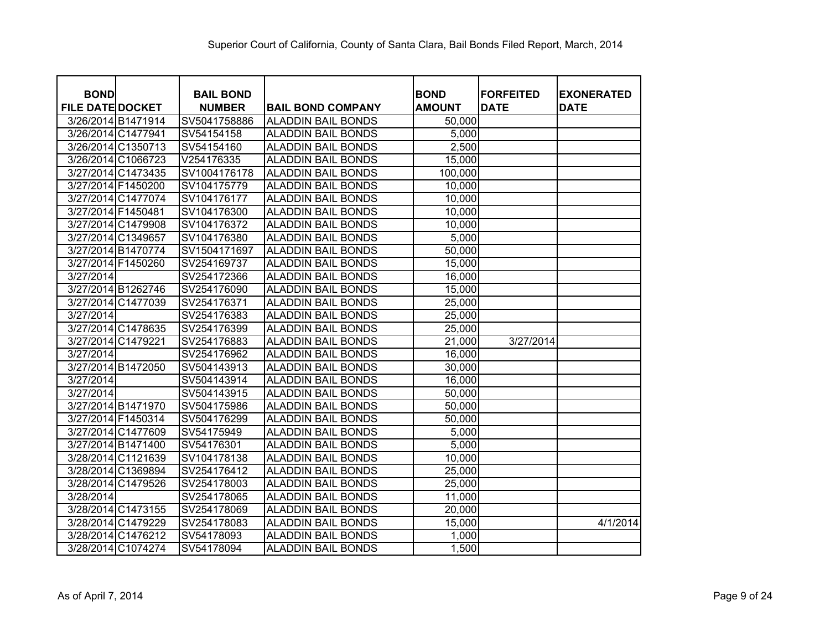| <b>BOND</b>             |                    | <b>BAIL BOND</b> |                           | <b>BOND</b>   | <b>FORFEITED</b> | <b>EXONERATED</b> |
|-------------------------|--------------------|------------------|---------------------------|---------------|------------------|-------------------|
| <b>FILE DATE DOCKET</b> |                    | <b>NUMBER</b>    | <b>BAIL BOND COMPANY</b>  | <b>AMOUNT</b> | <b>DATE</b>      | <b>DATE</b>       |
|                         | 3/26/2014 B1471914 | SV5041758886     | <b>ALADDIN BAIL BONDS</b> | 50,000        |                  |                   |
|                         | 3/26/2014 C1477941 | SV54154158       | <b>ALADDIN BAIL BONDS</b> | 5,000         |                  |                   |
|                         | 3/26/2014 C1350713 | SV54154160       | <b>ALADDIN BAIL BONDS</b> | 2,500         |                  |                   |
|                         | 3/26/2014 C1066723 | V254176335       | <b>ALADDIN BAIL BONDS</b> | 15,000        |                  |                   |
|                         | 3/27/2014 C1473435 | SV1004176178     | <b>ALADDIN BAIL BONDS</b> | 100,000       |                  |                   |
|                         | 3/27/2014 F1450200 | SV104175779      | <b>ALADDIN BAIL BONDS</b> | 10,000        |                  |                   |
|                         | 3/27/2014 C1477074 | SV104176177      | <b>ALADDIN BAIL BONDS</b> | 10,000        |                  |                   |
| 3/27/2014 F1450481      |                    | SV104176300      | <b>ALADDIN BAIL BONDS</b> | 10,000        |                  |                   |
|                         | 3/27/2014 C1479908 | SV104176372      | <b>ALADDIN BAIL BONDS</b> | 10,000        |                  |                   |
|                         | 3/27/2014 C1349657 | SV104176380      | <b>ALADDIN BAIL BONDS</b> | 5,000         |                  |                   |
|                         | 3/27/2014 B1470774 | SV1504171697     | <b>ALADDIN BAIL BONDS</b> | 50,000        |                  |                   |
|                         | 3/27/2014 F1450260 | SV254169737      | <b>ALADDIN BAIL BONDS</b> | 15,000        |                  |                   |
| 3/27/2014               |                    | SV254172366      | <b>ALADDIN BAIL BONDS</b> | 16,000        |                  |                   |
|                         | 3/27/2014 B1262746 | SV254176090      | <b>ALADDIN BAIL BONDS</b> | 15,000        |                  |                   |
|                         | 3/27/2014 C1477039 | SV254176371      | <b>ALADDIN BAIL BONDS</b> | 25,000        |                  |                   |
| 3/27/2014               |                    | SV254176383      | <b>ALADDIN BAIL BONDS</b> | 25,000        |                  |                   |
|                         | 3/27/2014 C1478635 | SV254176399      | <b>ALADDIN BAIL BONDS</b> | 25,000        |                  |                   |
|                         | 3/27/2014 C1479221 | SV254176883      | <b>ALADDIN BAIL BONDS</b> | 21,000        | 3/27/2014        |                   |
| 3/27/2014               |                    | SV254176962      | <b>ALADDIN BAIL BONDS</b> | 16,000        |                  |                   |
|                         | 3/27/2014 B1472050 | SV504143913      | <b>ALADDIN BAIL BONDS</b> | 30,000        |                  |                   |
| 3/27/2014               |                    | SV504143914      | <b>ALADDIN BAIL BONDS</b> | 16,000        |                  |                   |
| 3/27/2014               |                    | SV504143915      | <b>ALADDIN BAIL BONDS</b> | 50,000        |                  |                   |
|                         | 3/27/2014 B1471970 | SV504175986      | <b>ALADDIN BAIL BONDS</b> | 50,000        |                  |                   |
|                         | 3/27/2014 F1450314 | SV504176299      | <b>ALADDIN BAIL BONDS</b> | 50,000        |                  |                   |
|                         | 3/27/2014 C1477609 | SV54175949       | <b>ALADDIN BAIL BONDS</b> | 5,000         |                  |                   |
|                         | 3/27/2014 B1471400 | SV54176301       | <b>ALADDIN BAIL BONDS</b> | 5,000         |                  |                   |
|                         | 3/28/2014 C1121639 | SV104178138      | <b>ALADDIN BAIL BONDS</b> | 10,000        |                  |                   |
|                         | 3/28/2014 C1369894 | SV254176412      | <b>ALADDIN BAIL BONDS</b> | 25,000        |                  |                   |
|                         | 3/28/2014 C1479526 | SV254178003      | <b>ALADDIN BAIL BONDS</b> | 25,000        |                  |                   |
| 3/28/2014               |                    | SV254178065      | <b>ALADDIN BAIL BONDS</b> | 11,000        |                  |                   |
|                         | 3/28/2014 C1473155 | SV254178069      | <b>ALADDIN BAIL BONDS</b> | 20,000        |                  |                   |
|                         | 3/28/2014 C1479229 | SV254178083      | <b>ALADDIN BAIL BONDS</b> | 15,000        |                  | 4/1/2014          |
|                         | 3/28/2014 C1476212 | SV54178093       | <b>ALADDIN BAIL BONDS</b> | 1,000         |                  |                   |
|                         | 3/28/2014 C1074274 | SV54178094       | <b>ALADDIN BAIL BONDS</b> | 1,500         |                  |                   |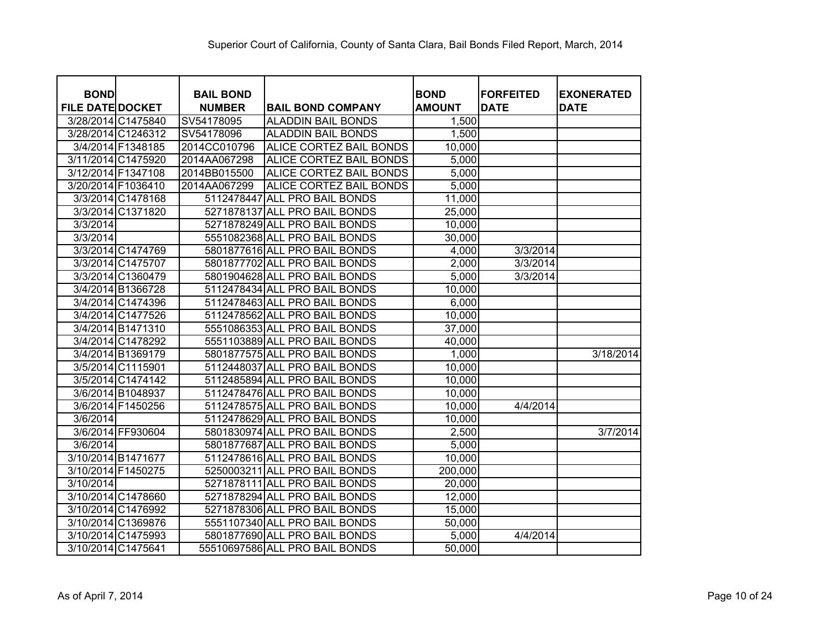| <b>BOND</b>             |                    | <b>BAIL BOND</b> |                                | <b>BOND</b>   | <b>IFORFEITED</b> | <b>EXONERATED</b> |
|-------------------------|--------------------|------------------|--------------------------------|---------------|-------------------|-------------------|
| <b>FILE DATE DOCKET</b> |                    | <b>NUMBER</b>    | <b>BAIL BOND COMPANY</b>       | <b>AMOUNT</b> | <b>DATE</b>       | <b>DATE</b>       |
|                         | 3/28/2014 C1475840 | SV54178095       | <b>ALADDIN BAIL BONDS</b>      | 1,500         |                   |                   |
|                         | 3/28/2014 C1246312 | SV54178096       | <b>ALADDIN BAIL BONDS</b>      | 1,500         |                   |                   |
|                         | 3/4/2014 F1348185  | 2014CC010796     | <b>ALICE CORTEZ BAIL BONDS</b> | 10,000        |                   |                   |
|                         | 3/11/2014 C1475920 | 2014AA067298     | <b>ALICE CORTEZ BAIL BONDS</b> | 5,000         |                   |                   |
| 3/12/2014 F1347108      |                    | 2014BB015500     | <b>ALICE CORTEZ BAIL BONDS</b> | 5,000         |                   |                   |
| 3/20/2014 F1036410      |                    | 2014AA067299     | <b>ALICE CORTEZ BAIL BONDS</b> | 5,000         |                   |                   |
|                         | 3/3/2014 C1478168  |                  | 5112478447 ALL PRO BAIL BONDS  | 11,000        |                   |                   |
|                         | 3/3/2014 C1371820  |                  | 5271878137 ALL PRO BAIL BONDS  | 25,000        |                   |                   |
| 3/3/2014                |                    |                  | 5271878249 ALL PRO BAIL BONDS  | 10,000        |                   |                   |
| 3/3/2014                |                    |                  | 5551082368 ALL PRO BAIL BONDS  | 30,000        |                   |                   |
|                         | 3/3/2014 C1474769  |                  | 5801877616 ALL PRO BAIL BONDS  | 4,000         | 3/3/2014          |                   |
|                         | 3/3/2014 C1475707  |                  | 5801877702 ALL PRO BAIL BONDS  | 2,000         | 3/3/2014          |                   |
|                         | 3/3/2014 C1360479  |                  | 5801904628 ALL PRO BAIL BONDS  | 5,000         | 3/3/2014          |                   |
|                         | 3/4/2014 B1366728  |                  | 5112478434 ALL PRO BAIL BONDS  | 10,000        |                   |                   |
|                         | 3/4/2014 C1474396  |                  | 5112478463 ALL PRO BAIL BONDS  | 6,000         |                   |                   |
|                         | 3/4/2014 C1477526  |                  | 5112478562 ALL PRO BAIL BONDS  | 10,000        |                   |                   |
|                         | 3/4/2014 B1471310  |                  | 5551086353 ALL PRO BAIL BONDS  | 37,000        |                   |                   |
|                         | 3/4/2014 C1478292  |                  | 5551103889 ALL PRO BAIL BONDS  | 40,000        |                   |                   |
|                         | 3/4/2014 B1369179  |                  | 5801877575 ALL PRO BAIL BONDS  | 1,000         |                   | 3/18/2014         |
|                         | 3/5/2014 C1115901  |                  | 5112448037 ALL PRO BAIL BONDS  | 10,000        |                   |                   |
|                         | 3/5/2014 C1474142  |                  | 5112485894 ALL PRO BAIL BONDS  | 10,000        |                   |                   |
|                         | 3/6/2014 B1048937  |                  | 5112478476 ALL PRO BAIL BONDS  | 10,000        |                   |                   |
|                         | 3/6/2014 F1450256  |                  | 5112478575 ALL PRO BAIL BONDS  | 10,000        | 4/4/2014          |                   |
| 3/6/2014                |                    |                  | 5112478629 ALL PRO BAIL BONDS  | 10,000        |                   |                   |
|                         | 3/6/2014 FF930604  |                  | 5801830974 ALL PRO BAIL BONDS  | 2,500         |                   | 3/7/2014          |
| 3/6/2014                |                    |                  | 5801877687 ALL PRO BAIL BONDS  | 5,000         |                   |                   |
|                         | 3/10/2014 B1471677 |                  | 5112478616 ALL PRO BAIL BONDS  | 10,000        |                   |                   |
| 3/10/2014 F1450275      |                    |                  | 5250003211 ALL PRO BAIL BONDS  | 200,000       |                   |                   |
| 3/10/2014               |                    |                  | 5271878111 ALL PRO BAIL BONDS  | 20,000        |                   |                   |
|                         | 3/10/2014 C1478660 |                  | 5271878294 ALL PRO BAIL BONDS  | 12,000        |                   |                   |
|                         | 3/10/2014 C1476992 |                  | 5271878306 ALL PRO BAIL BONDS  | 15,000        |                   |                   |
|                         | 3/10/2014 C1369876 |                  | 5551107340 ALL PRO BAIL BONDS  | 50,000        |                   |                   |
|                         | 3/10/2014 C1475993 |                  | 5801877690 ALL PRO BAIL BONDS  | 5,000         | 4/4/2014          |                   |
| 3/10/2014 C1475641      |                    |                  | 55510697586 ALL PRO BAIL BONDS | 50,000        |                   |                   |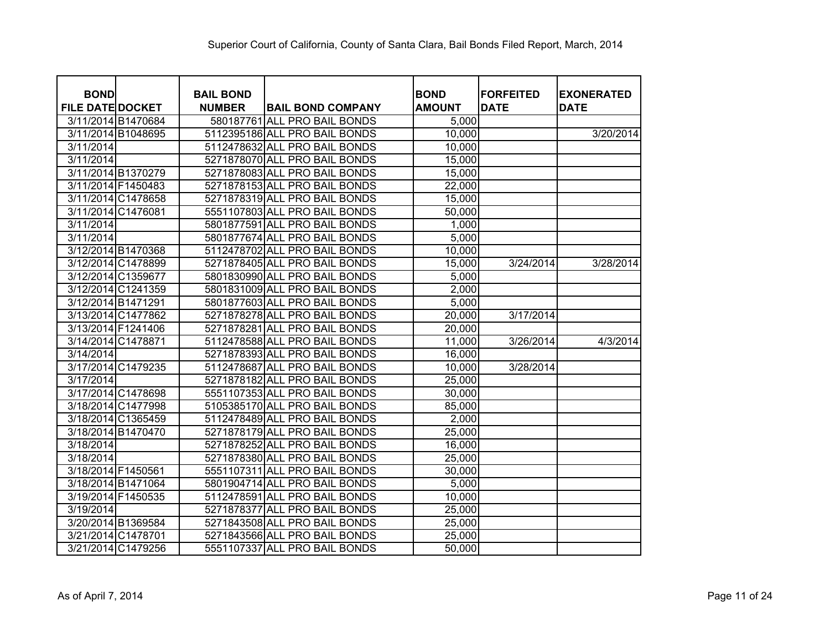| <b>BOND</b>             |                    | <b>BAIL BOND</b> |                               | <b>BOND</b>   | <b>IFORFEITED</b> | <b>EXONERATED</b> |
|-------------------------|--------------------|------------------|-------------------------------|---------------|-------------------|-------------------|
| <b>FILE DATE DOCKET</b> |                    | <b>NUMBER</b>    | <b>BAIL BOND COMPANY</b>      | <b>AMOUNT</b> | <b>DATE</b>       | <b>DATE</b>       |
|                         | 3/11/2014 B1470684 |                  | 580187761 ALL PRO BAIL BONDS  | 5,000         |                   |                   |
|                         | 3/11/2014 B1048695 |                  | 5112395186 ALL PRO BAIL BONDS | 10,000        |                   | 3/20/2014         |
| 3/11/2014               |                    |                  | 5112478632 ALL PRO BAIL BONDS | 10,000        |                   |                   |
| 3/11/2014               |                    |                  | 5271878070 ALL PRO BAIL BONDS | 15,000        |                   |                   |
|                         | 3/11/2014 B1370279 |                  | 5271878083 ALL PRO BAIL BONDS | 15,000        |                   |                   |
|                         | 3/11/2014 F1450483 |                  | 5271878153 ALL PRO BAIL BONDS | 22,000        |                   |                   |
|                         | 3/11/2014 C1478658 |                  | 5271878319 ALL PRO BAIL BONDS | 15,000        |                   |                   |
|                         | 3/11/2014 C1476081 |                  | 5551107803 ALL PRO BAIL BONDS | 50,000        |                   |                   |
| 3/11/2014               |                    |                  | 5801877591 ALL PRO BAIL BONDS | 1,000         |                   |                   |
| 3/11/2014               |                    |                  | 5801877674 ALL PRO BAIL BONDS | 5,000         |                   |                   |
|                         | 3/12/2014 B1470368 |                  | 5112478702 ALL PRO BAIL BONDS | 10,000        |                   |                   |
|                         | 3/12/2014 C1478899 |                  | 5271878405 ALL PRO BAIL BONDS | 15,000        | 3/24/2014         | 3/28/2014         |
|                         | 3/12/2014 C1359677 |                  | 5801830990 ALL PRO BAIL BONDS | 5,000         |                   |                   |
|                         | 3/12/2014 C1241359 |                  | 5801831009 ALL PRO BAIL BONDS | 2,000         |                   |                   |
| 3/12/2014 B1471291      |                    |                  | 5801877603 ALL PRO BAIL BONDS | 5,000         |                   |                   |
|                         | 3/13/2014 C1477862 |                  | 5271878278 ALL PRO BAIL BONDS | 20,000        | 3/17/2014         |                   |
|                         | 3/13/2014 F1241406 |                  | 5271878281 ALL PRO BAIL BONDS | 20,000        |                   |                   |
| 3/14/2014 C1478871      |                    |                  | 5112478588 ALL PRO BAIL BONDS | 11,000        | 3/26/2014         | 4/3/2014          |
| 3/14/2014               |                    |                  | 5271878393 ALL PRO BAIL BONDS | 16,000        |                   |                   |
|                         | 3/17/2014 C1479235 |                  | 5112478687 ALL PRO BAIL BONDS | 10,000        | 3/28/2014         |                   |
| 3/17/2014               |                    |                  | 5271878182 ALL PRO BAIL BONDS | 25,000        |                   |                   |
|                         | 3/17/2014 C1478698 |                  | 5551107353 ALL PRO BAIL BONDS | 30,000        |                   |                   |
|                         | 3/18/2014 C1477998 |                  | 5105385170 ALL PRO BAIL BONDS | 85,000        |                   |                   |
|                         | 3/18/2014 C1365459 |                  | 5112478489 ALL PRO BAIL BONDS | 2,000         |                   |                   |
|                         | 3/18/2014 B1470470 |                  | 5271878179 ALL PRO BAIL BONDS | 25,000        |                   |                   |
| 3/18/2014               |                    |                  | 5271878252 ALL PRO BAIL BONDS | 16,000        |                   |                   |
| 3/18/2014               |                    |                  | 5271878380 ALL PRO BAIL BONDS | 25,000        |                   |                   |
| 3/18/2014 F1450561      |                    |                  | 5551107311 ALL PRO BAIL BONDS | 30,000        |                   |                   |
|                         | 3/18/2014 B1471064 |                  | 5801904714 ALL PRO BAIL BONDS | 5,000         |                   |                   |
| 3/19/2014 F1450535      |                    |                  | 5112478591 ALL PRO BAIL BONDS | 10,000        |                   |                   |
| 3/19/2014               |                    |                  | 5271878377 ALL PRO BAIL BONDS | 25,000        |                   |                   |
|                         | 3/20/2014 B1369584 |                  | 5271843508 ALL PRO BAIL BONDS | 25,000        |                   |                   |
|                         | 3/21/2014 C1478701 |                  | 5271843566 ALL PRO BAIL BONDS | 25,000        |                   |                   |
|                         | 3/21/2014 C1479256 |                  | 5551107337 ALL PRO BAIL BONDS | 50,000        |                   |                   |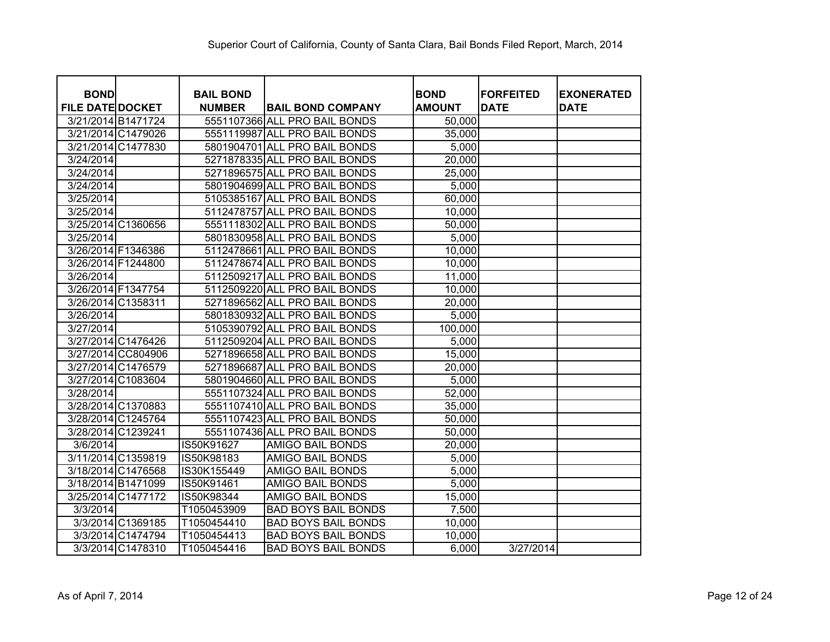| <b>BOND</b>             |                    | <b>BAIL BOND</b> |                               | <b>BOND</b>   | <b>FORFEITED</b> | <b>EXONERATED</b> |
|-------------------------|--------------------|------------------|-------------------------------|---------------|------------------|-------------------|
| <b>FILE DATE DOCKET</b> |                    | <b>NUMBER</b>    | <b>BAIL BOND COMPANY</b>      | <b>AMOUNT</b> | <b>DATE</b>      | <b>DATE</b>       |
| 3/21/2014 B1471724      |                    |                  | 5551107366 ALL PRO BAIL BONDS | 50,000        |                  |                   |
| 3/21/2014 C1479026      |                    |                  | 5551119987 ALL PRO BAIL BONDS | 35,000        |                  |                   |
| 3/21/2014 C1477830      |                    |                  | 5801904701 ALL PRO BAIL BONDS | 5,000         |                  |                   |
| 3/24/2014               |                    |                  | 5271878335 ALL PRO BAIL BONDS | 20,000        |                  |                   |
| 3/24/2014               |                    |                  | 5271896575 ALL PRO BAIL BONDS | 25,000        |                  |                   |
| 3/24/2014               |                    |                  | 5801904699 ALL PRO BAIL BONDS | 5,000         |                  |                   |
| 3/25/2014               |                    |                  | 5105385167 ALL PRO BAIL BONDS | 60,000        |                  |                   |
| 3/25/2014               |                    |                  | 5112478757 ALL PRO BAIL BONDS | 10,000        |                  |                   |
| 3/25/2014 C1360656      |                    |                  | 5551118302 ALL PRO BAIL BONDS | 50,000        |                  |                   |
| 3/25/2014               |                    |                  | 5801830958 ALL PRO BAIL BONDS | 5,000         |                  |                   |
| 3/26/2014 F1346386      |                    |                  | 5112478661 ALL PRO BAIL BONDS | 10,000        |                  |                   |
| 3/26/2014 F1244800      |                    |                  | 5112478674 ALL PRO BAIL BONDS | 10,000        |                  |                   |
| 3/26/2014               |                    |                  | 5112509217 ALL PRO BAIL BONDS | 11,000        |                  |                   |
| 3/26/2014 F1347754      |                    |                  | 5112509220 ALL PRO BAIL BONDS | 10,000        |                  |                   |
| 3/26/2014 C1358311      |                    |                  | 5271896562 ALL PRO BAIL BONDS | 20,000        |                  |                   |
| 3/26/2014               |                    |                  | 5801830932 ALL PRO BAIL BONDS | 5,000         |                  |                   |
| 3/27/2014               |                    |                  | 5105390792 ALL PRO BAIL BONDS | 100,000       |                  |                   |
| 3/27/2014 C1476426      |                    |                  | 5112509204 ALL PRO BAIL BONDS | 5,000         |                  |                   |
|                         | 3/27/2014 CC804906 |                  | 5271896658 ALL PRO BAIL BONDS | 15,000        |                  |                   |
| 3/27/2014 C1476579      |                    |                  | 5271896687 ALL PRO BAIL BONDS | 20,000        |                  |                   |
| 3/27/2014 C1083604      |                    |                  | 5801904660 ALL PRO BAIL BONDS | 5,000         |                  |                   |
| 3/28/2014               |                    |                  | 5551107324 ALL PRO BAIL BONDS | 52,000        |                  |                   |
| 3/28/2014 C1370883      |                    |                  | 5551107410 ALL PRO BAIL BONDS | 35,000        |                  |                   |
| 3/28/2014 C1245764      |                    |                  | 5551107423 ALL PRO BAIL BONDS | 50,000        |                  |                   |
| 3/28/2014 C1239241      |                    |                  | 5551107436 ALL PRO BAIL BONDS | 50,000        |                  |                   |
| 3/6/2014                |                    | IS50K91627       | <b>AMIGO BAIL BONDS</b>       | 20,000        |                  |                   |
| 3/11/2014 C1359819      |                    | IS50K98183       | <b>AMIGO BAIL BONDS</b>       | 5,000         |                  |                   |
| 3/18/2014 C1476568      |                    | IS30K155449      | <b>AMIGO BAIL BONDS</b>       | 5,000         |                  |                   |
| 3/18/2014 B1471099      |                    | IS50K91461       | <b>AMIGO BAIL BONDS</b>       | 5,000         |                  |                   |
| 3/25/2014 C1477172      |                    | IS50K98344       | <b>AMIGO BAIL BONDS</b>       | 15,000        |                  |                   |
| 3/3/2014                |                    | T1050453909      | <b>BAD BOYS BAIL BONDS</b>    | 7,500         |                  |                   |
|                         | 3/3/2014 C1369185  | T1050454410      | <b>BAD BOYS BAIL BONDS</b>    | 10,000        |                  |                   |
|                         | 3/3/2014 C1474794  | T1050454413      | <b>BAD BOYS BAIL BONDS</b>    | 10,000        |                  |                   |
|                         | 3/3/2014 C1478310  | T1050454416      | <b>BAD BOYS BAIL BONDS</b>    | 6,000         | 3/27/2014        |                   |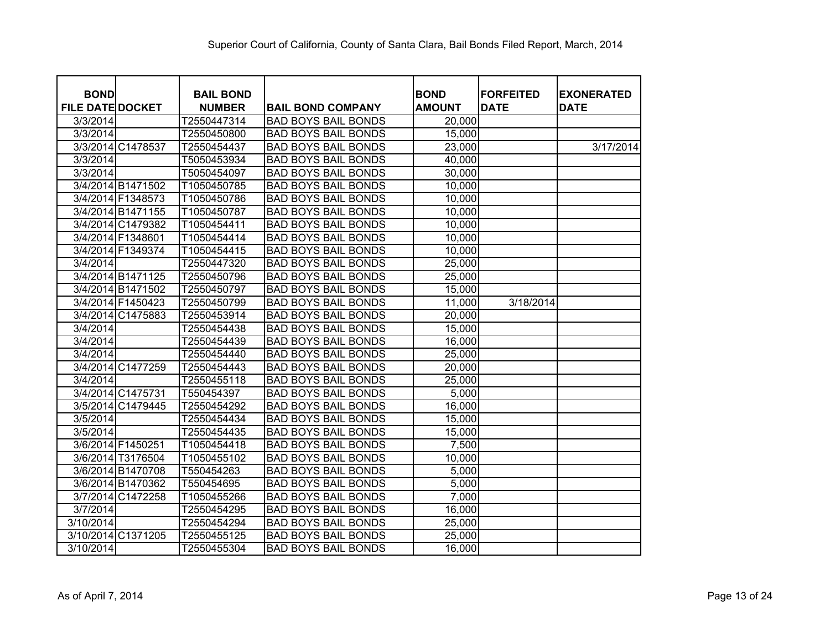| <b>BOND</b>             | <b>BAIL BOND</b> |                            | <b>BOND</b>   | <b>FORFEITED</b> | <b>EXONERATED</b> |
|-------------------------|------------------|----------------------------|---------------|------------------|-------------------|
| <b>FILE DATE DOCKET</b> | <b>NUMBER</b>    | <b>BAIL BOND COMPANY</b>   | <b>AMOUNT</b> | <b>DATE</b>      | <b>DATE</b>       |
| 3/3/2014                | T2550447314      | <b>BAD BOYS BAIL BONDS</b> | 20,000        |                  |                   |
| 3/3/2014                | T2550450800      | <b>BAD BOYS BAIL BONDS</b> | 15,000        |                  |                   |
| 3/3/2014 C1478537       | T2550454437      | <b>BAD BOYS BAIL BONDS</b> | 23,000        |                  | 3/17/2014         |
| 3/3/2014                | T5050453934      | <b>BAD BOYS BAIL BONDS</b> | 40,000        |                  |                   |
| 3/3/2014                | T5050454097      | <b>BAD BOYS BAIL BONDS</b> | 30,000        |                  |                   |
| 3/4/2014 B1471502       | T1050450785      | <b>BAD BOYS BAIL BONDS</b> | 10,000        |                  |                   |
| 3/4/2014 F1348573       | T1050450786      | <b>BAD BOYS BAIL BONDS</b> | 10,000        |                  |                   |
| 3/4/2014 B1471155       | T1050450787      | <b>BAD BOYS BAIL BONDS</b> | 10,000        |                  |                   |
| 3/4/2014 C1479382       | T1050454411      | <b>BAD BOYS BAIL BONDS</b> | 10,000        |                  |                   |
| 3/4/2014 F1348601       | T1050454414      | <b>BAD BOYS BAIL BONDS</b> | 10,000        |                  |                   |
| 3/4/2014 F1349374       | T1050454415      | <b>BAD BOYS BAIL BONDS</b> | 10,000        |                  |                   |
| 3/4/2014                | T2550447320      | <b>BAD BOYS BAIL BONDS</b> | 25,000        |                  |                   |
| 3/4/2014 B1471125       | T2550450796      | <b>BAD BOYS BAIL BONDS</b> | 25,000        |                  |                   |
| 3/4/2014 B1471502       | T2550450797      | <b>BAD BOYS BAIL BONDS</b> | 15,000        |                  |                   |
| 3/4/2014 F1450423       | T2550450799      | <b>BAD BOYS BAIL BONDS</b> | 11,000        | 3/18/2014        |                   |
| 3/4/2014 C1475883       | T2550453914      | <b>BAD BOYS BAIL BONDS</b> | 20,000        |                  |                   |
| 3/4/2014                | T2550454438      | <b>BAD BOYS BAIL BONDS</b> | 15,000        |                  |                   |
| 3/4/2014                | T2550454439      | <b>BAD BOYS BAIL BONDS</b> | 16,000        |                  |                   |
| 3/4/2014                | T2550454440      | <b>BAD BOYS BAIL BONDS</b> | 25,000        |                  |                   |
| 3/4/2014 C1477259       | T2550454443      | <b>BAD BOYS BAIL BONDS</b> | 20,000        |                  |                   |
| 3/4/2014                | T2550455118      | <b>BAD BOYS BAIL BONDS</b> | 25,000        |                  |                   |
| 3/4/2014 C1475731       | T550454397       | <b>BAD BOYS BAIL BONDS</b> | 5,000         |                  |                   |
| 3/5/2014 C1479445       | T2550454292      | <b>BAD BOYS BAIL BONDS</b> | 16,000        |                  |                   |
| 3/5/2014                | T2550454434      | <b>BAD BOYS BAIL BONDS</b> | 15,000        |                  |                   |
| 3/5/2014                | T2550454435      | <b>BAD BOYS BAIL BONDS</b> | 15,000        |                  |                   |
| 3/6/2014 F1450251       | T1050454418      | <b>BAD BOYS BAIL BONDS</b> | 7,500         |                  |                   |
| 3/6/2014 T3176504       | T1050455102      | <b>BAD BOYS BAIL BONDS</b> | 10,000        |                  |                   |
| 3/6/2014 B1470708       | T550454263       | <b>BAD BOYS BAIL BONDS</b> | 5,000         |                  |                   |
| 3/6/2014 B1470362       | T550454695       | <b>BAD BOYS BAIL BONDS</b> | 5,000         |                  |                   |
| 3/7/2014 C1472258       | T1050455266      | <b>BAD BOYS BAIL BONDS</b> | 7,000         |                  |                   |
| 3/7/2014                | T2550454295      | <b>BAD BOYS BAIL BONDS</b> | 16,000        |                  |                   |
| 3/10/2014               | T2550454294      | <b>BAD BOYS BAIL BONDS</b> | 25,000        |                  |                   |
| 3/10/2014 C1371205      | T2550455125      | <b>BAD BOYS BAIL BONDS</b> | 25,000        |                  |                   |
| 3/10/2014               | T2550455304      | <b>BAD BOYS BAIL BONDS</b> | 16,000        |                  |                   |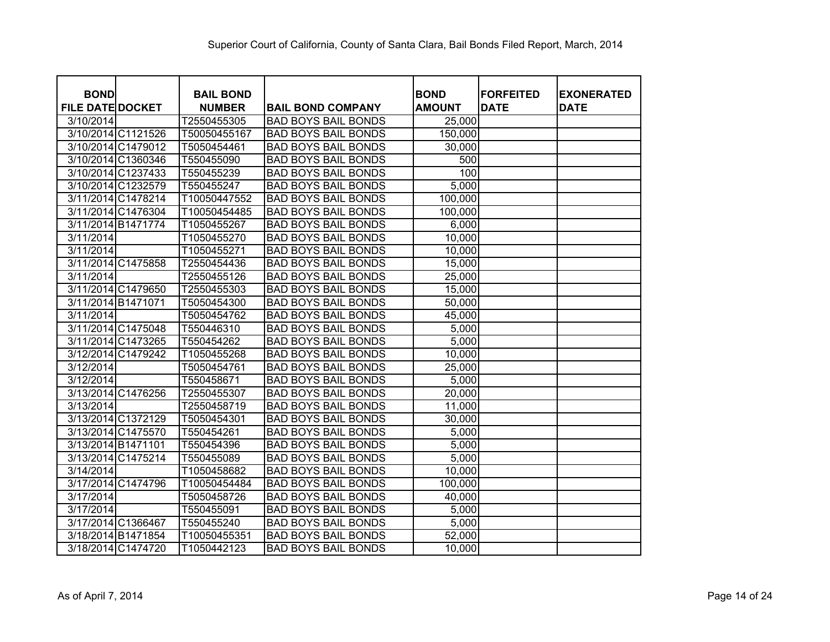| <b>BOND</b>             |                    | <b>BAIL BOND</b> |                            | <b>BOND</b>   | <b>FORFEITED</b> | <b>EXONERATED</b> |
|-------------------------|--------------------|------------------|----------------------------|---------------|------------------|-------------------|
| <b>FILE DATE DOCKET</b> |                    | <b>NUMBER</b>    | <b>BAIL BOND COMPANY</b>   | <b>AMOUNT</b> | <b>DATE</b>      | <b>DATE</b>       |
| 3/10/2014               |                    | T2550455305      | <b>BAD BOYS BAIL BONDS</b> | 25,000        |                  |                   |
|                         | 3/10/2014 C1121526 | T50050455167     | <b>BAD BOYS BAIL BONDS</b> | 150,000       |                  |                   |
|                         | 3/10/2014 C1479012 | T5050454461      | <b>BAD BOYS BAIL BONDS</b> | 30,000        |                  |                   |
|                         | 3/10/2014 C1360346 | T550455090       | <b>BAD BOYS BAIL BONDS</b> | 500           |                  |                   |
|                         | 3/10/2014 C1237433 | T550455239       | <b>BAD BOYS BAIL BONDS</b> | 100           |                  |                   |
|                         | 3/10/2014 C1232579 | T550455247       | <b>BAD BOYS BAIL BONDS</b> | 5,000         |                  |                   |
|                         | 3/11/2014 C1478214 | T10050447552     | <b>BAD BOYS BAIL BONDS</b> | 100,000       |                  |                   |
|                         | 3/11/2014 C1476304 | T10050454485     | <b>BAD BOYS BAIL BONDS</b> | 100,000       |                  |                   |
|                         | 3/11/2014 B1471774 | T1050455267      | <b>BAD BOYS BAIL BONDS</b> | 6,000         |                  |                   |
| 3/11/2014               |                    | T1050455270      | <b>BAD BOYS BAIL BONDS</b> | 10,000        |                  |                   |
| 3/11/2014               |                    | T1050455271      | <b>BAD BOYS BAIL BONDS</b> | 10,000        |                  |                   |
|                         | 3/11/2014 C1475858 | T2550454436      | <b>BAD BOYS BAIL BONDS</b> | 15,000        |                  |                   |
| 3/11/2014               |                    | T2550455126      | <b>BAD BOYS BAIL BONDS</b> | 25,000        |                  |                   |
|                         | 3/11/2014 C1479650 | T2550455303      | <b>BAD BOYS BAIL BONDS</b> | 15,000        |                  |                   |
| 3/11/2014 B1471071      |                    | T5050454300      | <b>BAD BOYS BAIL BONDS</b> | 50,000        |                  |                   |
| 3/11/2014               |                    | T5050454762      | <b>BAD BOYS BAIL BONDS</b> | 45,000        |                  |                   |
|                         | 3/11/2014 C1475048 | T550446310       | <b>BAD BOYS BAIL BONDS</b> | 5,000         |                  |                   |
|                         | 3/11/2014 C1473265 | T550454262       | <b>BAD BOYS BAIL BONDS</b> | 5,000         |                  |                   |
|                         | 3/12/2014 C1479242 | T1050455268      | <b>BAD BOYS BAIL BONDS</b> | 10,000        |                  |                   |
| 3/12/2014               |                    | T5050454761      | <b>BAD BOYS BAIL BONDS</b> | 25,000        |                  |                   |
| 3/12/2014               |                    | T550458671       | <b>BAD BOYS BAIL BONDS</b> | 5,000         |                  |                   |
|                         | 3/13/2014 C1476256 | T2550455307      | <b>BAD BOYS BAIL BONDS</b> | 20,000        |                  |                   |
| 3/13/2014               |                    | T2550458719      | <b>BAD BOYS BAIL BONDS</b> | 11,000        |                  |                   |
|                         | 3/13/2014 C1372129 | T5050454301      | <b>BAD BOYS BAIL BONDS</b> | 30,000        |                  |                   |
|                         | 3/13/2014 C1475570 | T550454261       | <b>BAD BOYS BAIL BONDS</b> | 5,000         |                  |                   |
| 3/13/2014 B1471101      |                    | T550454396       | <b>BAD BOYS BAIL BONDS</b> | 5,000         |                  |                   |
|                         | 3/13/2014 C1475214 | T550455089       | <b>BAD BOYS BAIL BONDS</b> | 5,000         |                  |                   |
| 3/14/2014               |                    | T1050458682      | <b>BAD BOYS BAIL BONDS</b> | 10,000        |                  |                   |
|                         | 3/17/2014 C1474796 | T10050454484     | <b>BAD BOYS BAIL BONDS</b> | 100,000       |                  |                   |
| 3/17/2014               |                    | T5050458726      | <b>BAD BOYS BAIL BONDS</b> | 40,000        |                  |                   |
| 3/17/2014               |                    | T550455091       | <b>BAD BOYS BAIL BONDS</b> | 5,000         |                  |                   |
|                         | 3/17/2014 C1366467 | T550455240       | <b>BAD BOYS BAIL BONDS</b> | 5,000         |                  |                   |
|                         | 3/18/2014 B1471854 | T10050455351     | <b>BAD BOYS BAIL BONDS</b> | 52,000        |                  |                   |
|                         | 3/18/2014 C1474720 | T1050442123      | <b>BAD BOYS BAIL BONDS</b> | 10,000        |                  |                   |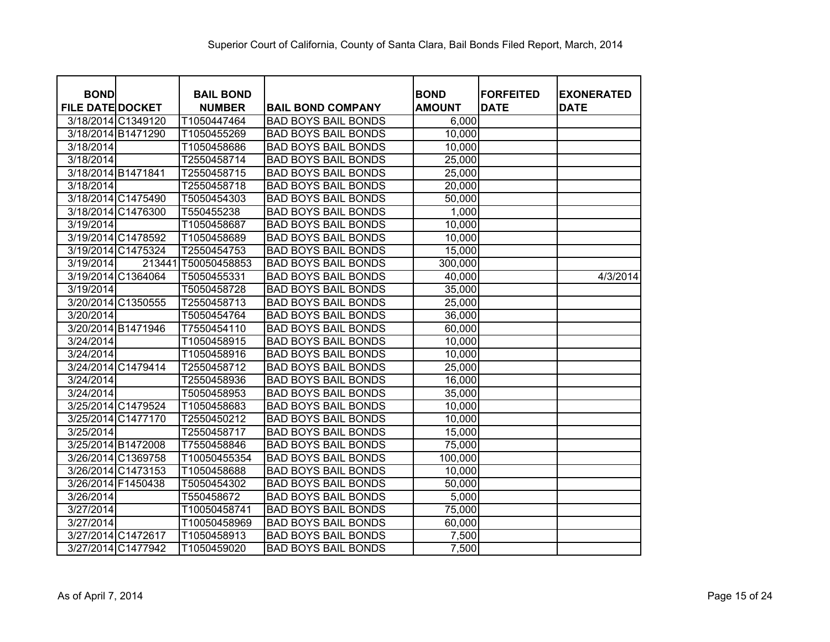| <b>BOND</b>             |                    | <b>BAIL BOND</b> |                            | <b>BOND</b>   | <b>FORFEITED</b> | <b>EXONERATED</b> |
|-------------------------|--------------------|------------------|----------------------------|---------------|------------------|-------------------|
| <b>FILE DATE DOCKET</b> |                    | <b>NUMBER</b>    | <b>BAIL BOND COMPANY</b>   | <b>AMOUNT</b> | <b>DATE</b>      | <b>DATE</b>       |
|                         | 3/18/2014 C1349120 | T1050447464      | <b>BAD BOYS BAIL BONDS</b> | 6,000         |                  |                   |
|                         | 3/18/2014 B1471290 | T1050455269      | <b>BAD BOYS BAIL BONDS</b> | 10,000        |                  |                   |
| 3/18/2014               |                    | T1050458686      | <b>BAD BOYS BAIL BONDS</b> | 10,000        |                  |                   |
| 3/18/2014               |                    | T2550458714      | <b>BAD BOYS BAIL BONDS</b> | 25,000        |                  |                   |
|                         | 3/18/2014 B1471841 | T2550458715      | <b>BAD BOYS BAIL BONDS</b> | 25,000        |                  |                   |
| 3/18/2014               |                    | T2550458718      | <b>BAD BOYS BAIL BONDS</b> | 20,000        |                  |                   |
|                         | 3/18/2014 C1475490 | T5050454303      | <b>BAD BOYS BAIL BONDS</b> | 50,000        |                  |                   |
|                         | 3/18/2014 C1476300 | T550455238       | <b>BAD BOYS BAIL BONDS</b> | 1,000         |                  |                   |
| 3/19/2014               |                    | T1050458687      | <b>BAD BOYS BAIL BONDS</b> | 10,000        |                  |                   |
|                         | 3/19/2014 C1478592 | T1050458689      | <b>BAD BOYS BAIL BONDS</b> | 10,000        |                  |                   |
|                         | 3/19/2014 C1475324 | T2550454753      | <b>BAD BOYS BAIL BONDS</b> | 15,000        |                  |                   |
| 3/19/2014               | 213441             | T50050458853     | <b>BAD BOYS BAIL BONDS</b> | 300,000       |                  |                   |
|                         | 3/19/2014 C1364064 | T5050455331      | <b>BAD BOYS BAIL BONDS</b> | 40,000        |                  | 4/3/2014          |
| 3/19/2014               |                    | T5050458728      | <b>BAD BOYS BAIL BONDS</b> | 35,000        |                  |                   |
|                         | 3/20/2014 C1350555 | T2550458713      | <b>BAD BOYS BAIL BONDS</b> | 25,000        |                  |                   |
| 3/20/2014               |                    | T5050454764      | <b>BAD BOYS BAIL BONDS</b> | 36,000        |                  |                   |
|                         | 3/20/2014 B1471946 | T7550454110      | <b>BAD BOYS BAIL BONDS</b> | 60,000        |                  |                   |
| 3/24/2014               |                    | T1050458915      | <b>BAD BOYS BAIL BONDS</b> | 10,000        |                  |                   |
| 3/24/2014               |                    | T1050458916      | <b>BAD BOYS BAIL BONDS</b> | 10,000        |                  |                   |
|                         | 3/24/2014 C1479414 | T2550458712      | <b>BAD BOYS BAIL BONDS</b> | 25,000        |                  |                   |
| 3/24/2014               |                    | T2550458936      | <b>BAD BOYS BAIL BONDS</b> | 16,000        |                  |                   |
| 3/24/2014               |                    | T5050458953      | <b>BAD BOYS BAIL BONDS</b> | 35,000        |                  |                   |
|                         | 3/25/2014 C1479524 | T1050458683      | <b>BAD BOYS BAIL BONDS</b> | 10,000        |                  |                   |
|                         | 3/25/2014 C1477170 | T2550450212      | <b>BAD BOYS BAIL BONDS</b> | 10,000        |                  |                   |
| 3/25/2014               |                    | T2550458717      | <b>BAD BOYS BAIL BONDS</b> | 15,000        |                  |                   |
|                         | 3/25/2014 B1472008 | T7550458846      | <b>BAD BOYS BAIL BONDS</b> | 75,000        |                  |                   |
|                         | 3/26/2014 C1369758 | T10050455354     | <b>BAD BOYS BAIL BONDS</b> | 100,000       |                  |                   |
|                         | 3/26/2014 C1473153 | T1050458688      | <b>BAD BOYS BAIL BONDS</b> | 10,000        |                  |                   |
|                         | 3/26/2014 F1450438 | T5050454302      | <b>BAD BOYS BAIL BONDS</b> | 50,000        |                  |                   |
| 3/26/2014               |                    | T550458672       | <b>BAD BOYS BAIL BONDS</b> | 5,000         |                  |                   |
| 3/27/2014               |                    | T10050458741     | <b>BAD BOYS BAIL BONDS</b> | 75,000        |                  |                   |
| 3/27/2014               |                    | T10050458969     | <b>BAD BOYS BAIL BONDS</b> | 60,000        |                  |                   |
|                         | 3/27/2014 C1472617 | T1050458913      | <b>BAD BOYS BAIL BONDS</b> | 7,500         |                  |                   |
|                         | 3/27/2014 C1477942 | T1050459020      | <b>BAD BOYS BAIL BONDS</b> | 7,500         |                  |                   |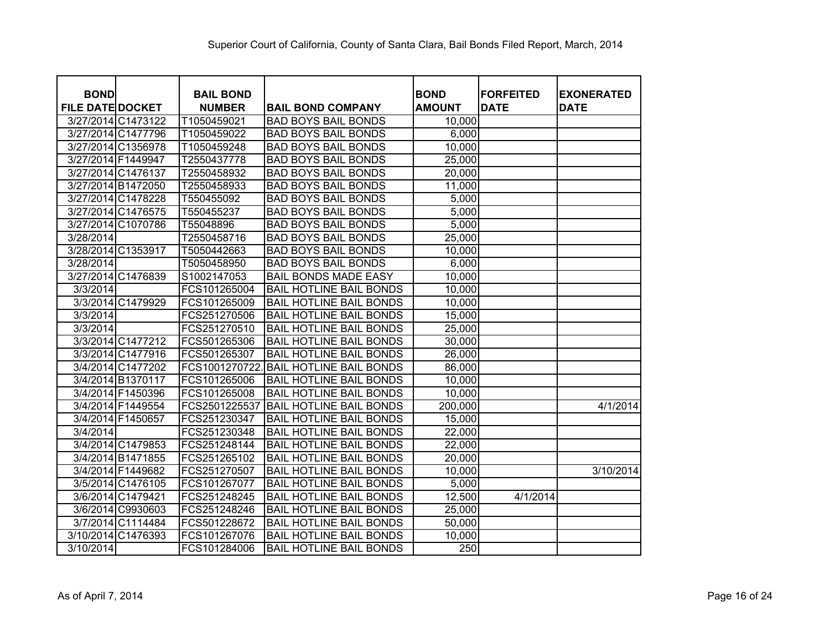| <b>BOND</b>             |                    | <b>BAIL BOND</b> |                                | <b>BOND</b>   | <b>FORFEITED</b> | <b>EXONERATED</b> |
|-------------------------|--------------------|------------------|--------------------------------|---------------|------------------|-------------------|
| <b>FILE DATE DOCKET</b> |                    | <b>NUMBER</b>    | <b>BAIL BOND COMPANY</b>       | <b>AMOUNT</b> | <b>DATE</b>      | <b>DATE</b>       |
|                         | 3/27/2014 C1473122 | T1050459021      | <b>BAD BOYS BAIL BONDS</b>     | 10,000        |                  |                   |
|                         | 3/27/2014 C1477796 | T1050459022      | <b>BAD BOYS BAIL BONDS</b>     | 6,000         |                  |                   |
|                         | 3/27/2014 C1356978 | T1050459248      | <b>BAD BOYS BAIL BONDS</b>     | 10,000        |                  |                   |
| 3/27/2014 F1449947      |                    | T2550437778      | <b>BAD BOYS BAIL BONDS</b>     | 25,000        |                  |                   |
|                         | 3/27/2014 C1476137 | T2550458932      | <b>BAD BOYS BAIL BONDS</b>     | 20,000        |                  |                   |
|                         | 3/27/2014 B1472050 | T2550458933      | <b>BAD BOYS BAIL BONDS</b>     | 11,000        |                  |                   |
|                         | 3/27/2014 C1478228 | T550455092       | <b>BAD BOYS BAIL BONDS</b>     | 5,000         |                  |                   |
|                         | 3/27/2014 C1476575 | T550455237       | <b>BAD BOYS BAIL BONDS</b>     | 5,000         |                  |                   |
|                         | 3/27/2014 C1070786 | T55048896        | <b>BAD BOYS BAIL BONDS</b>     | 5,000         |                  |                   |
| 3/28/2014               |                    | T2550458716      | <b>BAD BOYS BAIL BONDS</b>     | 25,000        |                  |                   |
|                         | 3/28/2014 C1353917 | T5050442663      | <b>BAD BOYS BAIL BONDS</b>     | 10,000        |                  |                   |
| 3/28/2014               |                    | T5050458950      | <b>BAD BOYS BAIL BONDS</b>     | 6,000         |                  |                   |
|                         | 3/27/2014 C1476839 | S1002147053      | <b>BAIL BONDS MADE EASY</b>    | 10,000        |                  |                   |
| 3/3/2014                |                    | FCS101265004     | <b>BAIL HOTLINE BAIL BONDS</b> | 10,000        |                  |                   |
|                         | 3/3/2014 C1479929  | FCS101265009     | <b>BAIL HOTLINE BAIL BONDS</b> | 10,000        |                  |                   |
| 3/3/2014                |                    | FCS251270506     | <b>BAIL HOTLINE BAIL BONDS</b> | 15,000        |                  |                   |
| 3/3/2014                |                    | FCS251270510     | <b>BAIL HOTLINE BAIL BONDS</b> | 25,000        |                  |                   |
|                         | 3/3/2014 C1477212  | FCS501265306     | <b>BAIL HOTLINE BAIL BONDS</b> | 30,000        |                  |                   |
|                         | 3/3/2014 C1477916  | FCS501265307     | <b>BAIL HOTLINE BAIL BONDS</b> | 26,000        |                  |                   |
|                         | 3/4/2014 C1477202  | FCS1001270722    | <b>BAIL HOTLINE BAIL BONDS</b> | 86,000        |                  |                   |
|                         | 3/4/2014 B1370117  | FCS101265006     | <b>BAIL HOTLINE BAIL BONDS</b> | 10,000        |                  |                   |
|                         | 3/4/2014 F1450396  | FCS101265008     | <b>BAIL HOTLINE BAIL BONDS</b> | 10,000        |                  |                   |
|                         | 3/4/2014 F1449554  | FCS2501225537    | <b>BAIL HOTLINE BAIL BONDS</b> | 200,000       |                  | 4/1/2014          |
|                         | 3/4/2014 F1450657  | FCS251230347     | <b>BAIL HOTLINE BAIL BONDS</b> | 15,000        |                  |                   |
| 3/4/2014                |                    | FCS251230348     | <b>BAIL HOTLINE BAIL BONDS</b> | 22,000        |                  |                   |
|                         | 3/4/2014 C1479853  | FCS251248144     | <b>BAIL HOTLINE BAIL BONDS</b> | 22,000        |                  |                   |
|                         | 3/4/2014 B1471855  | FCS251265102     | <b>BAIL HOTLINE BAIL BONDS</b> | 20,000        |                  |                   |
|                         | 3/4/2014 F1449682  | FCS251270507     | <b>BAIL HOTLINE BAIL BONDS</b> | 10,000        |                  | 3/10/2014         |
|                         | 3/5/2014 C1476105  | FCS101267077     | <b>BAIL HOTLINE BAIL BONDS</b> | 5,000         |                  |                   |
|                         | 3/6/2014 C1479421  | FCS251248245     | <b>BAIL HOTLINE BAIL BONDS</b> | 12,500        | 4/1/2014         |                   |
|                         | 3/6/2014 C9930603  | FCS251248246     | <b>BAIL HOTLINE BAIL BONDS</b> | 25,000        |                  |                   |
|                         | 3/7/2014 C1114484  | FCS501228672     | <b>BAIL HOTLINE BAIL BONDS</b> | 50,000        |                  |                   |
|                         | 3/10/2014 C1476393 | FCS101267076     | <b>BAIL HOTLINE BAIL BONDS</b> | 10,000        |                  |                   |
| 3/10/2014               |                    | FCS101284006     | <b>BAIL HOTLINE BAIL BONDS</b> | 250           |                  |                   |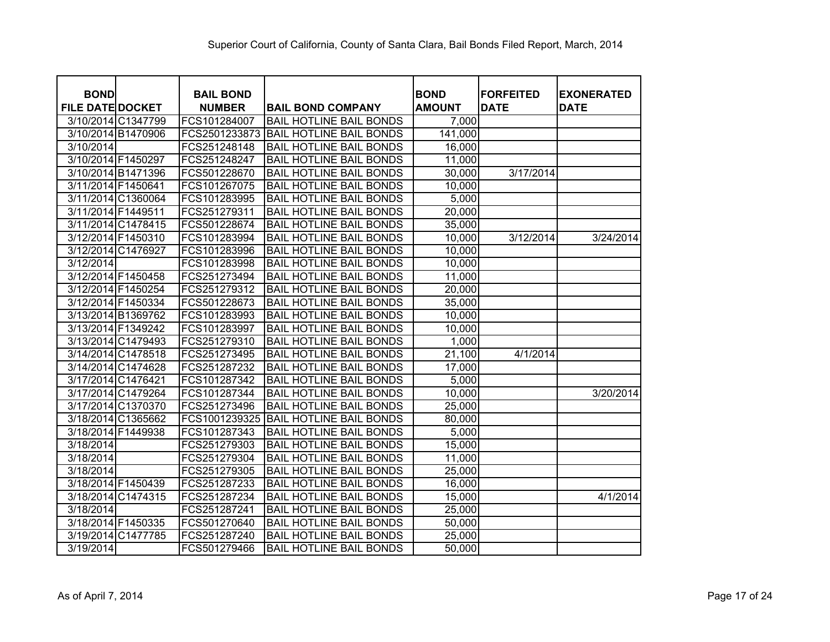| <b>BOND</b>             |                    | <b>BAIL BOND</b> |                                | <b>BOND</b>   | <b>FORFEITED</b> | <b>EXONERATED</b> |
|-------------------------|--------------------|------------------|--------------------------------|---------------|------------------|-------------------|
| <b>FILE DATE DOCKET</b> |                    | <b>NUMBER</b>    | <b>BAIL BOND COMPANY</b>       | <b>AMOUNT</b> | <b>DATE</b>      | <b>DATE</b>       |
|                         | 3/10/2014 C1347799 | FCS101284007     | <b>BAIL HOTLINE BAIL BONDS</b> | 7,000         |                  |                   |
|                         | 3/10/2014 B1470906 | FCS2501233873    | <b>BAIL HOTLINE BAIL BONDS</b> | 141,000       |                  |                   |
| 3/10/2014               |                    | FCS251248148     | <b>BAIL HOTLINE BAIL BONDS</b> | 16,000        |                  |                   |
| 3/10/2014 F1450297      |                    | FCS251248247     | <b>BAIL HOTLINE BAIL BONDS</b> | 11,000        |                  |                   |
| 3/10/2014 B1471396      |                    | FCS501228670     | <b>BAIL HOTLINE BAIL BONDS</b> | 30,000        | 3/17/2014        |                   |
| 3/11/2014 F1450641      |                    | FCS101267075     | <b>BAIL HOTLINE BAIL BONDS</b> | 10,000        |                  |                   |
|                         | 3/11/2014 C1360064 | FCS101283995     | <b>BAIL HOTLINE BAIL BONDS</b> | 5,000         |                  |                   |
| 3/11/2014 F1449511      |                    | FCS251279311     | <b>BAIL HOTLINE BAIL BONDS</b> | 20,000        |                  |                   |
|                         | 3/11/2014 C1478415 | FCS501228674     | <b>BAIL HOTLINE BAIL BONDS</b> | 35,000        |                  |                   |
| 3/12/2014 F1450310      |                    | FCS101283994     | <b>BAIL HOTLINE BAIL BONDS</b> | 10,000        | 3/12/2014        | 3/24/2014         |
| 3/12/2014 C1476927      |                    | FCS101283996     | <b>BAIL HOTLINE BAIL BONDS</b> | 10,000        |                  |                   |
| 3/12/2014               |                    | FCS101283998     | <b>BAIL HOTLINE BAIL BONDS</b> | 10,000        |                  |                   |
| 3/12/2014 F1450458      |                    | FCS251273494     | <b>BAIL HOTLINE BAIL BONDS</b> | 11,000        |                  |                   |
| 3/12/2014 F1450254      |                    | FCS251279312     | <b>BAIL HOTLINE BAIL BONDS</b> | 20,000        |                  |                   |
| 3/12/2014 F1450334      |                    | FCS501228673     | <b>BAIL HOTLINE BAIL BONDS</b> | 35,000        |                  |                   |
| 3/13/2014 B1369762      |                    | FCS101283993     | <b>BAIL HOTLINE BAIL BONDS</b> | 10,000        |                  |                   |
| 3/13/2014 F1349242      |                    | FCS101283997     | <b>BAIL HOTLINE BAIL BONDS</b> | 10,000        |                  |                   |
|                         | 3/13/2014 C1479493 | FCS251279310     | <b>BAIL HOTLINE BAIL BONDS</b> | 1,000         |                  |                   |
|                         | 3/14/2014 C1478518 | FCS251273495     | <b>BAIL HOTLINE BAIL BONDS</b> | 21,100        | 4/1/2014         |                   |
|                         | 3/14/2014 C1474628 | FCS251287232     | <b>BAIL HOTLINE BAIL BONDS</b> | 17,000        |                  |                   |
| 3/17/2014 C1476421      |                    | FCS101287342     | <b>BAIL HOTLINE BAIL BONDS</b> | 5,000         |                  |                   |
|                         | 3/17/2014 C1479264 | FCS101287344     | <b>BAIL HOTLINE BAIL BONDS</b> | 10,000        |                  | 3/20/2014         |
|                         | 3/17/2014 C1370370 | FCS251273496     | <b>BAIL HOTLINE BAIL BONDS</b> | 25,000        |                  |                   |
|                         | 3/18/2014 C1365662 | FCS1001239325    | <b>BAIL HOTLINE BAIL BONDS</b> | 80,000        |                  |                   |
| 3/18/2014 F1449938      |                    | FCS101287343     | <b>BAIL HOTLINE BAIL BONDS</b> | 5,000         |                  |                   |
| 3/18/2014               |                    | FCS251279303     | <b>BAIL HOTLINE BAIL BONDS</b> | 15,000        |                  |                   |
| 3/18/2014               |                    | FCS251279304     | <b>BAIL HOTLINE BAIL BONDS</b> | 11,000        |                  |                   |
| 3/18/2014               |                    | FCS251279305     | <b>BAIL HOTLINE BAIL BONDS</b> | 25,000        |                  |                   |
| 3/18/2014 F1450439      |                    | FCS251287233     | <b>BAIL HOTLINE BAIL BONDS</b> | 16,000        |                  |                   |
|                         | 3/18/2014 C1474315 | FCS251287234     | <b>BAIL HOTLINE BAIL BONDS</b> | 15,000        |                  | 4/1/2014          |
| 3/18/2014               |                    | FCS251287241     | <b>BAIL HOTLINE BAIL BONDS</b> | 25,000        |                  |                   |
| 3/18/2014 F1450335      |                    | FCS501270640     | <b>BAIL HOTLINE BAIL BONDS</b> | 50,000        |                  |                   |
|                         | 3/19/2014 C1477785 | FCS251287240     | <b>BAIL HOTLINE BAIL BONDS</b> | 25,000        |                  |                   |
| 3/19/2014               |                    | FCS501279466     | <b>BAIL HOTLINE BAIL BONDS</b> | 50,000        |                  |                   |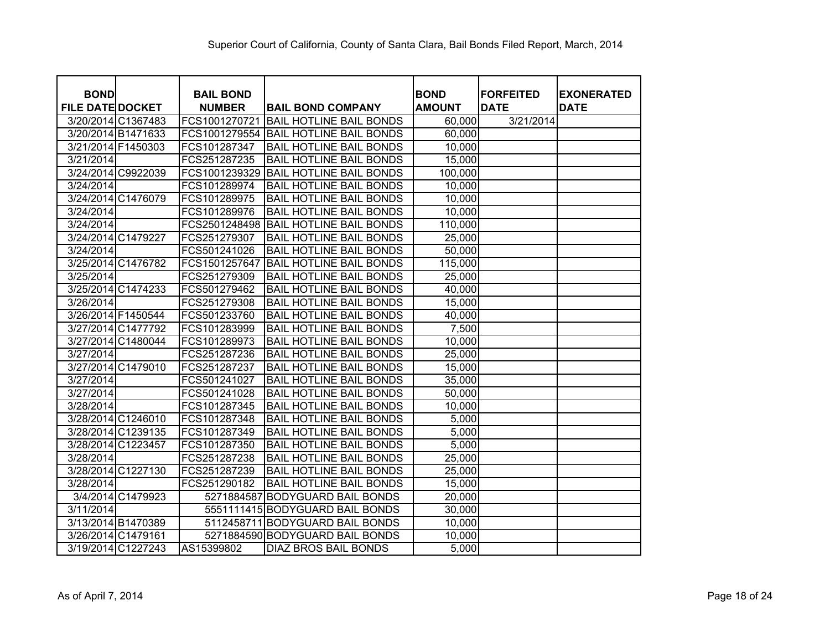| <b>BOND</b>             |                   | <b>BAIL BOND</b> |                                       | <b>BOND</b>   | <b>FORFEITED</b> | <b>EXONERATED</b> |
|-------------------------|-------------------|------------------|---------------------------------------|---------------|------------------|-------------------|
| <b>FILE DATE DOCKET</b> |                   | <b>NUMBER</b>    | <b>BAIL BOND COMPANY</b>              | <b>AMOUNT</b> | <b>DATE</b>      | <b>DATE</b>       |
| 3/20/2014 C1367483      |                   | FCS1001270721    | <b>BAIL HOTLINE BAIL BONDS</b>        | 60,000        | 3/21/2014        |                   |
| 3/20/2014 B1471633      |                   |                  | FCS1001279554 BAIL HOTLINE BAIL BONDS | 60,000        |                  |                   |
| 3/21/2014 F1450303      |                   | FCS101287347     | <b>BAIL HOTLINE BAIL BONDS</b>        | 10,000        |                  |                   |
| 3/21/2014               |                   | FCS251287235     | <b>BAIL HOTLINE BAIL BONDS</b>        | 15,000        |                  |                   |
| 3/24/2014 C9922039      |                   | FCS1001239329    | <b>BAIL HOTLINE BAIL BONDS</b>        | 100,000       |                  |                   |
| 3/24/2014               |                   | FCS101289974     | <b>BAIL HOTLINE BAIL BONDS</b>        | 10,000        |                  |                   |
| 3/24/2014 C1476079      |                   | FCS101289975     | <b>BAIL HOTLINE BAIL BONDS</b>        | 10,000        |                  |                   |
| 3/24/2014               |                   | FCS101289976     | <b>BAIL HOTLINE BAIL BONDS</b>        | 10,000        |                  |                   |
| 3/24/2014               |                   | FCS2501248498    | <b>BAIL HOTLINE BAIL BONDS</b>        | 110,000       |                  |                   |
| 3/24/2014 C1479227      |                   | FCS251279307     | <b>BAIL HOTLINE BAIL BONDS</b>        | 25,000        |                  |                   |
| 3/24/2014               |                   | FCS501241026     | <b>BAIL HOTLINE BAIL BONDS</b>        | 50,000        |                  |                   |
| 3/25/2014 C1476782      |                   | FCS1501257647    | <b>BAIL HOTLINE BAIL BONDS</b>        | 115,000       |                  |                   |
| 3/25/2014               |                   | FCS251279309     | <b>BAIL HOTLINE BAIL BONDS</b>        | 25,000        |                  |                   |
| 3/25/2014 C1474233      |                   | FCS501279462     | <b>BAIL HOTLINE BAIL BONDS</b>        | 40,000        |                  |                   |
| 3/26/2014               |                   | FCS251279308     | <b>BAIL HOTLINE BAIL BONDS</b>        | 15,000        |                  |                   |
| 3/26/2014 F1450544      |                   | FCS501233760     | <b>BAIL HOTLINE BAIL BONDS</b>        | 40,000        |                  |                   |
| 3/27/2014 C1477792      |                   | FCS101283999     | <b>BAIL HOTLINE BAIL BONDS</b>        | 7,500         |                  |                   |
| 3/27/2014 C1480044      |                   | FCS101289973     | <b>BAIL HOTLINE BAIL BONDS</b>        | 10,000        |                  |                   |
| 3/27/2014               |                   | FCS251287236     | <b>BAIL HOTLINE BAIL BONDS</b>        | 25,000        |                  |                   |
| 3/27/2014 C1479010      |                   | FCS251287237     | <b>BAIL HOTLINE BAIL BONDS</b>        | 15,000        |                  |                   |
| 3/27/2014               |                   | FCS501241027     | <b>BAIL HOTLINE BAIL BONDS</b>        | 35,000        |                  |                   |
| 3/27/2014               |                   | FCS501241028     | <b>BAIL HOTLINE BAIL BONDS</b>        | 50,000        |                  |                   |
| 3/28/2014               |                   | FCS101287345     | <b>BAIL HOTLINE BAIL BONDS</b>        | 10,000        |                  |                   |
| 3/28/2014 C1246010      |                   | FCS101287348     | <b>BAIL HOTLINE BAIL BONDS</b>        | 5,000         |                  |                   |
| 3/28/2014 C1239135      |                   | FCS101287349     | <b>BAIL HOTLINE BAIL BONDS</b>        | 5,000         |                  |                   |
| 3/28/2014 C1223457      |                   | FCS101287350     | <b>BAIL HOTLINE BAIL BONDS</b>        | 5,000         |                  |                   |
| 3/28/2014               |                   | FCS251287238     | <b>BAIL HOTLINE BAIL BONDS</b>        | 25,000        |                  |                   |
| 3/28/2014 C1227130      |                   | FCS251287239     | <b>BAIL HOTLINE BAIL BONDS</b>        | 25,000        |                  |                   |
| 3/28/2014               |                   | FCS251290182     | <b>BAIL HOTLINE BAIL BONDS</b>        | 15,000        |                  |                   |
|                         | 3/4/2014 C1479923 |                  | 5271884587 BODYGUARD BAIL BONDS       | 20,000        |                  |                   |
| 3/11/2014               |                   |                  | 5551111415 BODYGUARD BAIL BONDS       | 30,000        |                  |                   |
| 3/13/2014 B1470389      |                   |                  | 5112458711 BODYGUARD BAIL BONDS       | 10,000        |                  |                   |
| 3/26/2014 C1479161      |                   |                  | 5271884590 BODYGUARD BAIL BONDS       | 10,000        |                  |                   |
| 3/19/2014 C1227243      |                   | AS15399802       | <b>DIAZ BROS BAIL BONDS</b>           | 5,000         |                  |                   |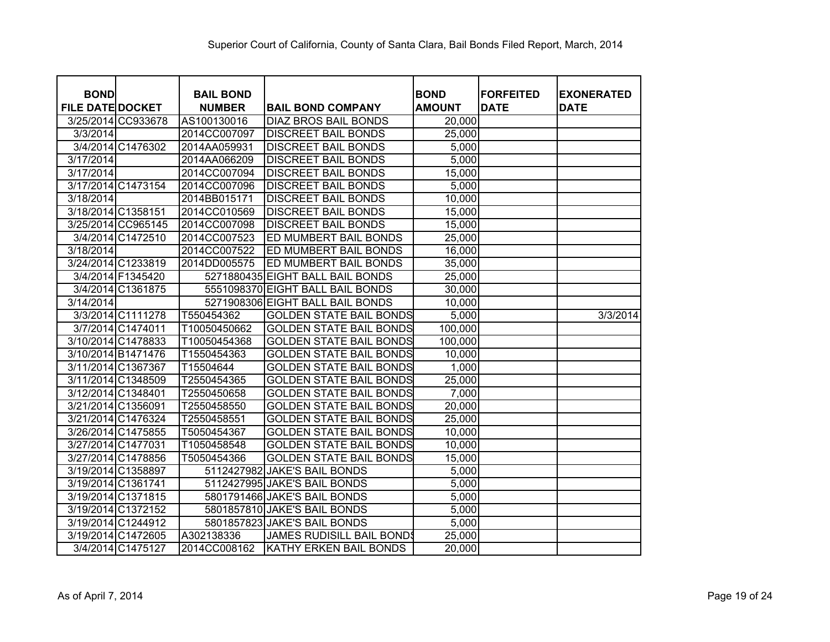| <b>BOND</b>             |                    | <b>BAIL BOND</b> |                                  | <b>BOND</b>   | <b>IFORFEITED</b> | <b>EXONERATED</b> |
|-------------------------|--------------------|------------------|----------------------------------|---------------|-------------------|-------------------|
| <b>FILE DATE DOCKET</b> |                    | <b>NUMBER</b>    | <b>BAIL BOND COMPANY</b>         | <b>AMOUNT</b> | <b>DATE</b>       | <b>DATE</b>       |
|                         | 3/25/2014 CC933678 | AS100130016      | <b>DIAZ BROS BAIL BONDS</b>      | 20,000        |                   |                   |
| 3/3/2014                |                    | 2014CC007097     | <b>DISCREET BAIL BONDS</b>       | 25,000        |                   |                   |
|                         | 3/4/2014 C1476302  | 2014AA059931     | <b>DISCREET BAIL BONDS</b>       | 5,000         |                   |                   |
| 3/17/2014               |                    | 2014AA066209     | <b>DISCREET BAIL BONDS</b>       | 5,000         |                   |                   |
| 3/17/2014               |                    | 2014CC007094     | <b>DISCREET BAIL BONDS</b>       | 15,000        |                   |                   |
|                         | 3/17/2014 C1473154 | 2014CC007096     | <b>DISCREET BAIL BONDS</b>       | 5,000         |                   |                   |
| 3/18/2014               |                    | 2014BB015171     | <b>DISCREET BAIL BONDS</b>       | 10,000        |                   |                   |
| 3/18/2014 C1358151      |                    | 2014CC010569     | <b>DISCREET BAIL BONDS</b>       | 15,000        |                   |                   |
|                         | 3/25/2014 CC965145 | 2014CC007098     | <b>DISCREET BAIL BONDS</b>       | 15,000        |                   |                   |
|                         | 3/4/2014 C1472510  | 2014CC007523     | ED MUMBERT BAIL BONDS            | 25,000        |                   |                   |
| 3/18/2014               |                    | 2014CC007522     | ED MUMBERT BAIL BONDS            | 16,000        |                   |                   |
|                         | 3/24/2014 C1233819 | 2014DD005575     | ED MUMBERT BAIL BONDS            | 35,000        |                   |                   |
|                         | 3/4/2014 F1345420  |                  | 5271880435 EIGHT BALL BAIL BONDS | 25,000        |                   |                   |
|                         | 3/4/2014 C1361875  |                  | 5551098370 EIGHT BALL BAIL BONDS | 30,000        |                   |                   |
| 3/14/2014               |                    |                  | 5271908306 EIGHT BALL BAIL BONDS | 10,000        |                   |                   |
|                         | 3/3/2014 C1111278  | T550454362       | <b>GOLDEN STATE BAIL BONDS</b>   | 5,000         |                   | 3/3/2014          |
|                         | 3/7/2014 C1474011  | T10050450662     | <b>GOLDEN STATE BAIL BONDS</b>   | 100,000       |                   |                   |
|                         | 3/10/2014 C1478833 | T10050454368     | <b>GOLDEN STATE BAIL BONDS</b>   | 100,000       |                   |                   |
| 3/10/2014 B1471476      |                    | T1550454363      | <b>GOLDEN STATE BAIL BONDS</b>   | 10,000        |                   |                   |
| 3/11/2014 C1367367      |                    | T15504644        | <b>GOLDEN STATE BAIL BONDS</b>   | 1,000         |                   |                   |
|                         | 3/11/2014 C1348509 | T2550454365      | <b>GOLDEN STATE BAIL BONDS</b>   | 25,000        |                   |                   |
| 3/12/2014 C1348401      |                    | T2550450658      | <b>GOLDEN STATE BAIL BONDS</b>   | 7,000         |                   |                   |
| 3/21/2014 C1356091      |                    | T2550458550      | <b>GOLDEN STATE BAIL BONDS</b>   | 20,000        |                   |                   |
|                         | 3/21/2014 C1476324 | T2550458551      | <b>GOLDEN STATE BAIL BONDS</b>   | 25,000        |                   |                   |
|                         | 3/26/2014 C1475855 | T5050454367      | <b>GOLDEN STATE BAIL BONDS</b>   | 10,000        |                   |                   |
| 3/27/2014 C1477031      |                    | T1050458548      | <b>GOLDEN STATE BAIL BONDS</b>   | 10,000        |                   |                   |
|                         | 3/27/2014 C1478856 | T5050454366      | <b>GOLDEN STATE BAIL BONDS</b>   | 15,000        |                   |                   |
|                         | 3/19/2014 C1358897 |                  | 5112427982 JAKE'S BAIL BONDS     | 5,000         |                   |                   |
| 3/19/2014 C1361741      |                    |                  | 5112427995 JAKE'S BAIL BONDS     | 5,000         |                   |                   |
|                         | 3/19/2014 C1371815 |                  | 5801791466 JAKE'S BAIL BONDS     | 5,000         |                   |                   |
|                         | 3/19/2014 C1372152 |                  | 5801857810 JAKE'S BAIL BONDS     | 5,000         |                   |                   |
|                         | 3/19/2014 C1244912 |                  | 5801857823 JAKE'S BAIL BONDS     | 5,000         |                   |                   |
|                         | 3/19/2014 C1472605 | A302138336       | <b>JAMES RUDISILL BAIL BONDS</b> | 25,000        |                   |                   |
|                         | 3/4/2014 C1475127  | 2014CC008162     | KATHY ERKEN BAIL BONDS           | 20,000        |                   |                   |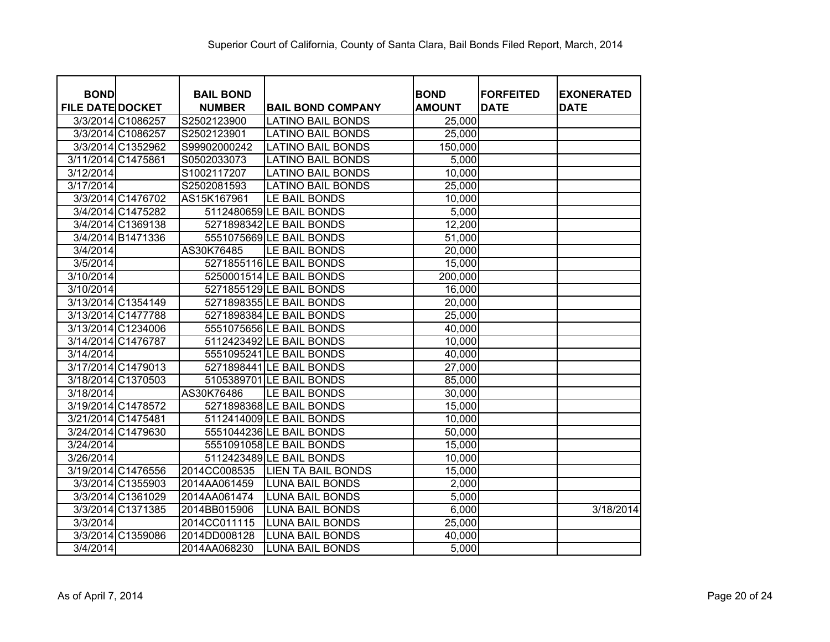| <b>BOND</b>             |                   | <b>BAIL BOND</b> |                           | <b>BOND</b>   | <b>FORFEITED</b> | <b>EXONERATED</b> |
|-------------------------|-------------------|------------------|---------------------------|---------------|------------------|-------------------|
| <b>FILE DATE DOCKET</b> |                   | <b>NUMBER</b>    | <b>BAIL BOND COMPANY</b>  | <b>AMOUNT</b> | <b>DATE</b>      | <b>DATE</b>       |
|                         | 3/3/2014 C1086257 | S2502123900      | <b>LATINO BAIL BONDS</b>  | 25,000        |                  |                   |
|                         | 3/3/2014 C1086257 | S2502123901      | <b>LATINO BAIL BONDS</b>  | 25,000        |                  |                   |
|                         | 3/3/2014 C1352962 | S99902000242     | <b>LATINO BAIL BONDS</b>  | 150,000       |                  |                   |
| 3/11/2014 C1475861      |                   | S0502033073      | <b>LATINO BAIL BONDS</b>  | 5,000         |                  |                   |
| 3/12/2014               |                   | S1002117207      | <b>LATINO BAIL BONDS</b>  | 10,000        |                  |                   |
| 3/17/2014               |                   | S2502081593      | <b>LATINO BAIL BONDS</b>  | 25,000        |                  |                   |
|                         | 3/3/2014 C1476702 | AS15K167961      | LE BAIL BONDS             | 10,000        |                  |                   |
|                         | 3/4/2014 C1475282 |                  | 5112480659 LE BAIL BONDS  | 5,000         |                  |                   |
|                         | 3/4/2014 C1369138 |                  | 5271898342 LE BAIL BONDS  | 12,200        |                  |                   |
|                         | 3/4/2014 B1471336 |                  | 5551075669 LE BAIL BONDS  | 51,000        |                  |                   |
| 3/4/2014                |                   | AS30K76485       | LE BAIL BONDS             | 20,000        |                  |                   |
| 3/5/2014                |                   |                  | 5271855116LE BAIL BONDS   | 15,000        |                  |                   |
| 3/10/2014               |                   |                  | 5250001514 LE BAIL BONDS  | 200,000       |                  |                   |
| 3/10/2014               |                   |                  | 5271855129 LE BAIL BONDS  | 16,000        |                  |                   |
| 3/13/2014 C1354149      |                   |                  | 5271898355 LE BAIL BONDS  | 20,000        |                  |                   |
| 3/13/2014 C1477788      |                   |                  | 5271898384 LE BAIL BONDS  | 25,000        |                  |                   |
| 3/13/2014 C1234006      |                   |                  | 5551075656 LE BAIL BONDS  | 40,000        |                  |                   |
| 3/14/2014 C1476787      |                   |                  | 5112423492 LE BAIL BONDS  | 10,000        |                  |                   |
| 3/14/2014               |                   |                  | 5551095241 LE BAIL BONDS  | 40,000        |                  |                   |
| 3/17/2014 C1479013      |                   |                  | 5271898441 LE BAIL BONDS  | 27,000        |                  |                   |
| 3/18/2014 C1370503      |                   |                  | 5105389701 LE BAIL BONDS  | 85,000        |                  |                   |
| 3/18/2014               |                   | AS30K76486       | LE BAIL BONDS             | 30,000        |                  |                   |
| 3/19/2014 C1478572      |                   |                  | 5271898368 LE BAIL BONDS  | 15,000        |                  |                   |
| 3/21/2014 C1475481      |                   |                  | 5112414009 LE BAIL BONDS  | 10,000        |                  |                   |
| 3/24/2014 C1479630      |                   |                  | 5551044236 LE BAIL BONDS  | 50,000        |                  |                   |
| 3/24/2014               |                   |                  | 5551091058 LE BAIL BONDS  | 15,000        |                  |                   |
| 3/26/2014               |                   |                  | 5112423489 LE BAIL BONDS  | 10,000        |                  |                   |
| 3/19/2014 C1476556      |                   | 2014CC008535     | <b>LIEN TA BAIL BONDS</b> | 15,000        |                  |                   |
|                         | 3/3/2014 C1355903 | 2014AA061459     | <b>LUNA BAIL BONDS</b>    | 2,000         |                  |                   |
|                         | 3/3/2014 C1361029 | 2014AA061474     | <b>LUNA BAIL BONDS</b>    | 5,000         |                  |                   |
|                         | 3/3/2014 C1371385 | 2014BB015906     | <b>LUNA BAIL BONDS</b>    | 6,000         |                  | 3/18/2014         |
| 3/3/2014                |                   | 2014CC011115     | <b>LUNA BAIL BONDS</b>    | 25,000        |                  |                   |
|                         | 3/3/2014 C1359086 | 2014DD008128     | <b>LUNA BAIL BONDS</b>    | 40,000        |                  |                   |
| 3/4/2014                |                   | 2014AA068230     | <b>LUNA BAIL BONDS</b>    | 5,000         |                  |                   |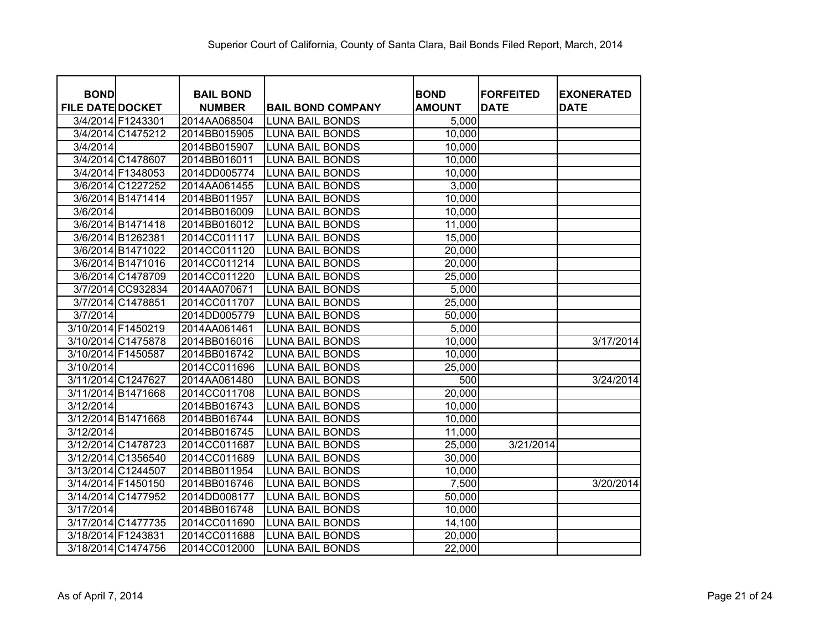| <b>BOND</b><br><b>FILE DATE DOCKET</b> |                    | <b>BAIL BOND</b>              |                                                    | <b>BOND</b><br><b>AMOUNT</b> | <b>FORFEITED</b><br><b>DATE</b> | <b>EXONERATED</b><br><b>DATE</b> |
|----------------------------------------|--------------------|-------------------------------|----------------------------------------------------|------------------------------|---------------------------------|----------------------------------|
|                                        | 3/4/2014 F1243301  | <b>NUMBER</b><br>2014AA068504 | <b>BAIL BOND COMPANY</b><br><b>LUNA BAIL BONDS</b> | 5,000                        |                                 |                                  |
|                                        | 3/4/2014 C1475212  | 2014BB015905                  | <b>LUNA BAIL BONDS</b>                             | 10,000                       |                                 |                                  |
| 3/4/2014                               |                    | 2014BB015907                  | <b>LUNA BAIL BONDS</b>                             | 10,000                       |                                 |                                  |
|                                        | 3/4/2014 C1478607  | 2014BB016011                  | <b>LUNA BAIL BONDS</b>                             | 10,000                       |                                 |                                  |
|                                        | 3/4/2014 F1348053  | 2014DD005774                  | <b>LUNA BAIL BONDS</b>                             | 10,000                       |                                 |                                  |
|                                        | 3/6/2014 C1227252  | 2014AA061455                  | <b>LUNA BAIL BONDS</b>                             | 3,000                        |                                 |                                  |
|                                        | 3/6/2014 B1471414  | 2014BB011957                  | <b>LUNA BAIL BONDS</b>                             | 10,000                       |                                 |                                  |
| 3/6/2014                               |                    | 2014BB016009                  | <b>LUNA BAIL BONDS</b>                             | 10,000                       |                                 |                                  |
|                                        | 3/6/2014 B1471418  | 2014BB016012                  | <b>LUNA BAIL BONDS</b>                             | 11,000                       |                                 |                                  |
|                                        | 3/6/2014 B1262381  | 2014CC011117                  | <b>LUNA BAIL BONDS</b>                             | 15,000                       |                                 |                                  |
|                                        | 3/6/2014 B1471022  | 2014CC011120                  | <b>LUNA BAIL BONDS</b>                             |                              |                                 |                                  |
|                                        |                    | 2014CC011214                  |                                                    | 20,000                       |                                 |                                  |
|                                        | 3/6/2014 B1471016  |                               | <b>LUNA BAIL BONDS</b>                             | 20,000                       |                                 |                                  |
|                                        | 3/6/2014 C1478709  | 2014CC011220                  | <b>LUNA BAIL BONDS</b>                             | 25,000                       |                                 |                                  |
|                                        | 3/7/2014 CC932834  | 2014AA070671                  | <b>LUNA BAIL BONDS</b>                             | 5,000                        |                                 |                                  |
|                                        | 3/7/2014 C1478851  | 2014CC011707                  | <b>LUNA BAIL BONDS</b>                             | 25,000                       |                                 |                                  |
| 3/7/2014                               |                    | 2014DD005779                  | <b>LUNA BAIL BONDS</b>                             | 50,000                       |                                 |                                  |
| 3/10/2014 F1450219                     |                    | 2014AA061461                  | <b>LUNA BAIL BONDS</b>                             | 5,000                        |                                 |                                  |
| 3/10/2014 C1475878                     |                    | 2014BB016016                  | <b>LUNA BAIL BONDS</b>                             | 10,000                       |                                 | 3/17/2014                        |
| 3/10/2014 F1450587                     |                    | 2014BB016742                  | <b>LUNA BAIL BONDS</b>                             | 10,000                       |                                 |                                  |
| 3/10/2014                              |                    | 2014CC011696                  | <b>LUNA BAIL BONDS</b>                             | 25,000                       |                                 |                                  |
| 3/11/2014 C1247627                     |                    | 2014AA061480                  | <b>LUNA BAIL BONDS</b>                             | 500                          |                                 | 3/24/2014                        |
| 3/11/2014 B1471668                     |                    | 2014CC011708                  | <b>LUNA BAIL BONDS</b>                             | 20,000                       |                                 |                                  |
| 3/12/2014                              |                    | 2014BB016743                  | <b>LUNA BAIL BONDS</b>                             | 10,000                       |                                 |                                  |
| 3/12/2014 B1471668                     |                    | 2014BB016744                  | <b>LUNA BAIL BONDS</b>                             | 10,000                       |                                 |                                  |
| 3/12/2014                              |                    | 2014BB016745                  | <b>LUNA BAIL BONDS</b>                             | 11,000                       |                                 |                                  |
| 3/12/2014 C1478723                     |                    | 2014CC011687                  | <b>LUNA BAIL BONDS</b>                             | 25,000                       | 3/21/2014                       |                                  |
|                                        | 3/12/2014 C1356540 | 2014CC011689                  | <b>LUNA BAIL BONDS</b>                             | 30,000                       |                                 |                                  |
| 3/13/2014 C1244507                     |                    | 2014BB011954                  | <b>LUNA BAIL BONDS</b>                             | 10,000                       |                                 |                                  |
| 3/14/2014 F1450150                     |                    | 2014BB016746                  | <b>LUNA BAIL BONDS</b>                             | 7,500                        |                                 | 3/20/2014                        |
| 3/14/2014 C1477952                     |                    | 2014DD008177                  | <b>LUNA BAIL BONDS</b>                             | 50,000                       |                                 |                                  |
| 3/17/2014                              |                    | 2014BB016748                  | <b>LUNA BAIL BONDS</b>                             | 10,000                       |                                 |                                  |
| 3/17/2014 C1477735                     |                    | 2014CC011690                  | <b>LUNA BAIL BONDS</b>                             | 14,100                       |                                 |                                  |
| 3/18/2014 F1243831                     |                    | 2014CC011688                  | <b>LUNA BAIL BONDS</b>                             | 20,000                       |                                 |                                  |
|                                        | 3/18/2014 C1474756 | 2014CC012000                  | <b>LUNA BAIL BONDS</b>                             | 22,000                       |                                 |                                  |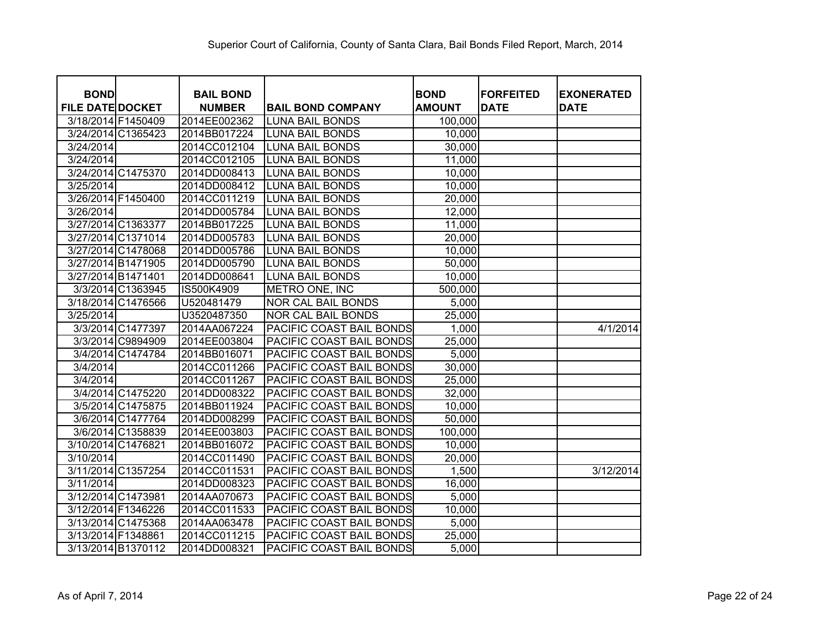| <b>BOND</b>             | <b>BAIL BOND</b> |                           | <b>BOND</b>   | <b>FORFEITED</b> | <b>EXONERATED</b> |
|-------------------------|------------------|---------------------------|---------------|------------------|-------------------|
| <b>FILE DATE DOCKET</b> | <b>NUMBER</b>    | <b>BAIL BOND COMPANY</b>  | <b>AMOUNT</b> | <b>DATE</b>      | <b>DATE</b>       |
| 3/18/2014 F1450409      | 2014EE002362     | <b>LUNA BAIL BONDS</b>    | 100,000       |                  |                   |
| 3/24/2014 C1365423      | 2014BB017224     | <b>LUNA BAIL BONDS</b>    | 10,000        |                  |                   |
| 3/24/2014               | 2014CC012104     | <b>LUNA BAIL BONDS</b>    | 30,000        |                  |                   |
| 3/24/2014               | 2014CC012105     | <b>LUNA BAIL BONDS</b>    | 11,000        |                  |                   |
| 3/24/2014 C1475370      | 2014DD008413     | <b>LUNA BAIL BONDS</b>    | 10,000        |                  |                   |
| 3/25/2014               | 2014DD008412     | <b>LUNA BAIL BONDS</b>    | 10,000        |                  |                   |
| 3/26/2014 F1450400      | 2014CC011219     | <b>LUNA BAIL BONDS</b>    | 20,000        |                  |                   |
| 3/26/2014               | 2014DD005784     | <b>LUNA BAIL BONDS</b>    | 12,000        |                  |                   |
| 3/27/2014 C1363377      | 2014BB017225     | <b>LUNA BAIL BONDS</b>    | 11,000        |                  |                   |
| 3/27/2014 C1371014      | 2014DD005783     | <b>LUNA BAIL BONDS</b>    | 20,000        |                  |                   |
| 3/27/2014 C1478068      | 2014DD005786     | <b>LUNA BAIL BONDS</b>    | 10,000        |                  |                   |
| 3/27/2014 B1471905      | 2014DD005790     | <b>LUNA BAIL BONDS</b>    | 50,000        |                  |                   |
| 3/27/2014 B1471401      | 2014DD008641     | <b>LUNA BAIL BONDS</b>    | 10,000        |                  |                   |
| 3/3/2014 C1363945       | IS500K4909       | METRO ONE, INC            | 500,000       |                  |                   |
| 3/18/2014 C1476566      | U520481479       | <b>NOR CAL BAIL BONDS</b> | 5,000         |                  |                   |
| 3/25/2014               | U3520487350      | <b>NOR CAL BAIL BONDS</b> | 25,000        |                  |                   |
| 3/3/2014 C1477397       | 2014AA067224     | PACIFIC COAST BAIL BONDS  | 1,000         |                  | 4/1/2014          |
| 3/3/2014 C9894909       | 2014EE003804     | PACIFIC COAST BAIL BONDS  | 25,000        |                  |                   |
| 3/4/2014 C1474784       | 2014BB016071     | PACIFIC COAST BAIL BONDS  | 5,000         |                  |                   |
| 3/4/2014                | 2014CC011266     | PACIFIC COAST BAIL BONDS  | 30,000        |                  |                   |
| 3/4/2014                | 2014CC011267     | PACIFIC COAST BAIL BONDS  | 25,000        |                  |                   |
| 3/4/2014 C1475220       | 2014DD008322     | PACIFIC COAST BAIL BONDS  | 32,000        |                  |                   |
| 3/5/2014 C1475875       | 2014BB011924     | PACIFIC COAST BAIL BONDS  | 10,000        |                  |                   |
| 3/6/2014 C1477764       | 2014DD008299     | PACIFIC COAST BAIL BONDS  | 50,000        |                  |                   |
| 3/6/2014 C1358839       | 2014EE003803     | PACIFIC COAST BAIL BONDS  | 100,000       |                  |                   |
| 3/10/2014 C1476821      | 2014BB016072     | PACIFIC COAST BAIL BONDS  | 10,000        |                  |                   |
| 3/10/2014               | 2014CC011490     | PACIFIC COAST BAIL BONDS  | 20,000        |                  |                   |
| 3/11/2014 C1357254      | 2014CC011531     | PACIFIC COAST BAIL BONDS  | 1,500         |                  | 3/12/2014         |
| 3/11/2014               | 2014DD008323     | PACIFIC COAST BAIL BONDS  | 16,000        |                  |                   |
| 3/12/2014 C1473981      | 2014AA070673     | PACIFIC COAST BAIL BONDS  | 5,000         |                  |                   |
| 3/12/2014 F1346226      | 2014CC011533     | PACIFIC COAST BAIL BONDS  | 10,000        |                  |                   |
| 3/13/2014 C1475368      | 2014AA063478     | PACIFIC COAST BAIL BONDS  | 5,000         |                  |                   |
| 3/13/2014 F1348861      | 2014CC011215     | PACIFIC COAST BAIL BONDS  | 25,000        |                  |                   |
| 3/13/2014 B1370112      | 2014DD008321     | PACIFIC COAST BAIL BONDS  | 5,000         |                  |                   |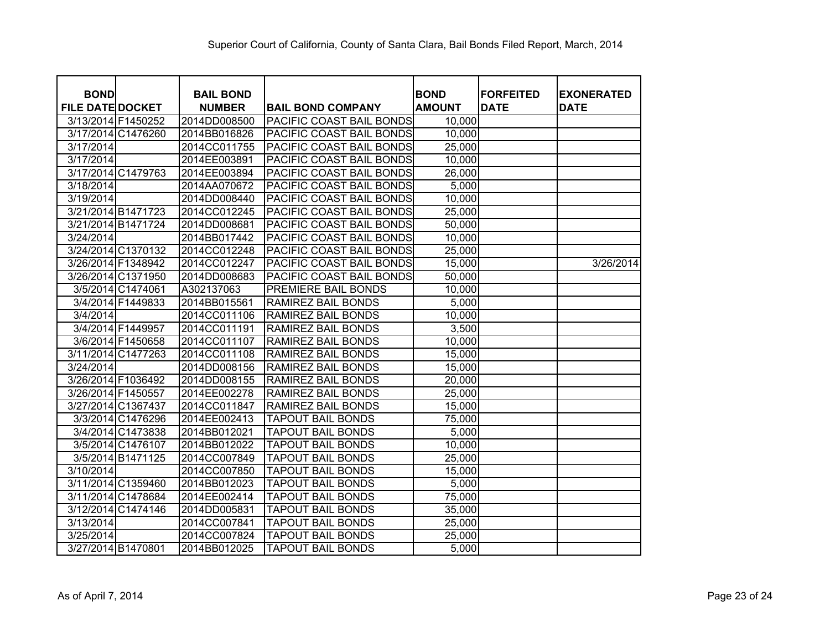| <b>BOND</b>             |                    | <b>BAIL BOND</b> |                                 | <b>BOND</b>   | <b>FORFEITED</b> | <b>EXONERATED</b> |
|-------------------------|--------------------|------------------|---------------------------------|---------------|------------------|-------------------|
| <b>FILE DATE DOCKET</b> |                    | <b>NUMBER</b>    | <b>BAIL BOND COMPANY</b>        | <b>AMOUNT</b> | <b>DATE</b>      | <b>DATE</b>       |
| 3/13/2014 F1450252      |                    | 2014DD008500     | <b>PACIFIC COAST BAIL BONDS</b> | 10,000        |                  |                   |
| 3/17/2014 C1476260      |                    | 2014BB016826     | <b>PACIFIC COAST BAIL BONDS</b> | 10,000        |                  |                   |
| 3/17/2014               |                    | 2014CC011755     | <b>PACIFIC COAST BAIL BONDS</b> | 25,000        |                  |                   |
| 3/17/2014               |                    | 2014EE003891     | PACIFIC COAST BAIL BONDS        | 10,000        |                  |                   |
| 3/17/2014 C1479763      |                    | 2014EE003894     | PACIFIC COAST BAIL BONDS        | 26,000        |                  |                   |
| 3/18/2014               |                    | 2014AA070672     | PACIFIC COAST BAIL BONDS        | 5,000         |                  |                   |
| 3/19/2014               |                    | 2014DD008440     | <b>PACIFIC COAST BAIL BONDS</b> | 10,000        |                  |                   |
| 3/21/2014 B1471723      |                    | 2014CC012245     | <b>PACIFIC COAST BAIL BONDS</b> | 25,000        |                  |                   |
| 3/21/2014 B1471724      |                    | 2014DD008681     | PACIFIC COAST BAIL BONDS        | 50,000        |                  |                   |
| 3/24/2014               |                    | 2014BB017442     | PACIFIC COAST BAIL BONDS        | 10,000        |                  |                   |
| 3/24/2014 C1370132      |                    | 2014CC012248     | <b>PACIFIC COAST BAIL BONDS</b> | 25,000        |                  |                   |
| 3/26/2014 F1348942      |                    | 2014CC012247     | <b>PACIFIC COAST BAIL BONDS</b> | 15,000        |                  | 3/26/2014         |
|                         | 3/26/2014 C1371950 | 2014DD008683     | PACIFIC COAST BAIL BONDS        | 50,000        |                  |                   |
|                         | 3/5/2014 C1474061  | A302137063       | PREMIERE BAIL BONDS             | 10,000        |                  |                   |
|                         | 3/4/2014 F1449833  | 2014BB015561     | <b>RAMIREZ BAIL BONDS</b>       | 5,000         |                  |                   |
| 3/4/2014                |                    | 2014CC011106     | <b>RAMIREZ BAIL BONDS</b>       | 10,000        |                  |                   |
|                         | 3/4/2014 F1449957  | 2014CC011191     | RAMIREZ BAIL BONDS              | 3,500         |                  |                   |
|                         | 3/6/2014 F1450658  | 2014CC011107     | <b>RAMIREZ BAIL BONDS</b>       | 10,000        |                  |                   |
|                         | 3/11/2014 C1477263 | 2014CC011108     | <b>RAMIREZ BAIL BONDS</b>       | 15,000        |                  |                   |
| 3/24/2014               |                    | 2014DD008156     | RAMIREZ BAIL BONDS              | 15,000        |                  |                   |
| 3/26/2014 F1036492      |                    | 2014DD008155     | RAMIREZ BAIL BONDS              | 20,000        |                  |                   |
| 3/26/2014 F1450557      |                    | 2014EE002278     | <b>RAMIREZ BAIL BONDS</b>       | 25,000        |                  |                   |
| 3/27/2014 C1367437      |                    | 2014CC011847     | <b>RAMIREZ BAIL BONDS</b>       | 15,000        |                  |                   |
|                         | 3/3/2014 C1476296  | 2014EE002413     | <b>TAPOUT BAIL BONDS</b>        | 75,000        |                  |                   |
|                         | 3/4/2014 C1473838  | 2014BB012021     | <b>TAPOUT BAIL BONDS</b>        | 5,000         |                  |                   |
|                         | 3/5/2014 C1476107  | 2014BB012022     | <b>TAPOUT BAIL BONDS</b>        | 10,000        |                  |                   |
|                         | 3/5/2014 B1471125  | 2014CC007849     | <b>TAPOUT BAIL BONDS</b>        | 25,000        |                  |                   |
| 3/10/2014               |                    | 2014CC007850     | <b>TAPOUT BAIL BONDS</b>        | 15,000        |                  |                   |
| 3/11/2014 C1359460      |                    | 2014BB012023     | <b>TAPOUT BAIL BONDS</b>        | 5,000         |                  |                   |
| 3/11/2014 C1478684      |                    | 2014EE002414     | <b>TAPOUT BAIL BONDS</b>        | 75,000        |                  |                   |
| 3/12/2014 C1474146      |                    | 2014DD005831     | <b>TAPOUT BAIL BONDS</b>        | 35,000        |                  |                   |
| 3/13/2014               |                    | 2014CC007841     | <b>TAPOUT BAIL BONDS</b>        | 25,000        |                  |                   |
| 3/25/2014               |                    | 2014CC007824     | <b>TAPOUT BAIL BONDS</b>        | 25,000        |                  |                   |
| 3/27/2014 B1470801      |                    | 2014BB012025     | <b>TAPOUT BAIL BONDS</b>        | 5,000         |                  |                   |